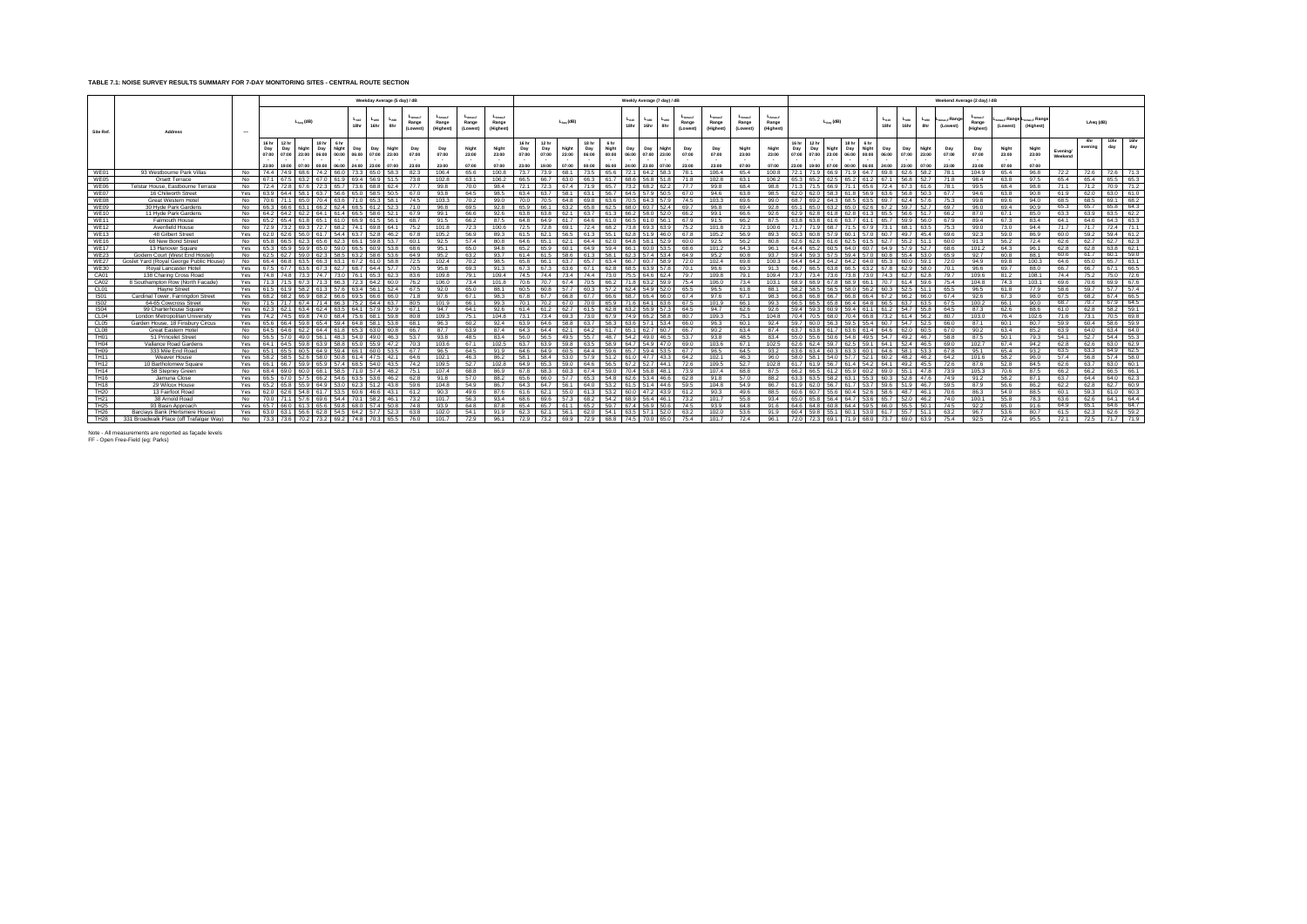## **TABLE 7.1: NOISE SURVEY RESULTS SUMMARY FOR 7-DAY MONITORING SITES - CENTRAL ROUTE SECTION**

|                                 |                                                                    |            |                        |                       |                         |                                |                                 |                       |                       | Weekday Average (5 day) / dB |                                   |                               |                                   |                                    |                                |                                |                         |                                |                                 |                       | Weekly Average (7 day) / dB             |                                                  |                |                    |                                          |                                     |                                |                                         |                                         |                                                              |                   |                                                  |                          | Weekend Average (2 day) / dB       |                         |                                                               |                    |                       |              |              |
|---------------------------------|--------------------------------------------------------------------|------------|------------------------|-----------------------|-------------------------|--------------------------------|---------------------------------|-----------------------|-----------------------|------------------------------|-----------------------------------|-------------------------------|-----------------------------------|------------------------------------|--------------------------------|--------------------------------|-------------------------|--------------------------------|---------------------------------|-----------------------|-----------------------------------------|--------------------------------------------------|----------------|--------------------|------------------------------------------|-------------------------------------|--------------------------------|-----------------------------------------|-----------------------------------------|--------------------------------------------------------------|-------------------|--------------------------------------------------|--------------------------|------------------------------------|-------------------------|---------------------------------------------------------------|--------------------|-----------------------|--------------|--------------|
| Site Ref.                       | Address                                                            | $\sim$     |                        |                       | $L_{A\text{eq}}$ (dB)   |                                |                                 | $L_{A10}$<br>18hr     | $L_{A90}$<br>16hr     | LAS<br>8hr                   | $L_{Amax,F}$<br>Range<br>(Lowest) | -Amax.F<br>Range<br>(Highest) | $L_{Amax,F}$<br>Range<br>(Lowest) | $L_{Amax,F}$<br>Range<br>(Highest) |                                |                                | $L_{Aeq}$ (dB)          |                                |                                 | $L_{A10}$<br>18hr     | $L_{A90}$<br>16hr<br>8hr                | L <sub>Amax.F</sub><br>Lago<br>Range<br>(Lowest) | $L_{AmaxF}$    | Range<br>(Highest) | L <sub>Amax.F</sub><br>Range<br>(Lowest) | $L_{A max F}$<br>Range<br>(Highest) |                                | $L_{Aeq}$ (dB)                          |                                         |                                                              | $L_{A10}$<br>18hr | $L_{A90}$<br>$L_{A90}$<br>16hr<br>8hr            | Amax,F Range<br>(Lowest) | $L_{Amax,F}$<br>Range<br>(Highest) | (Lowest)                | <sub>nav F</sub> Range L <sub>amav F</sub> Range<br>(Highest) |                    | LAeg (dB)             |              |              |
|                                 |                                                                    |            | Day<br>07:00<br>23:00  | Day<br>07:00<br>19:00 | Niaht<br>23:00<br>07:00 | 18 hr<br>Day<br>06:00<br>00:00 | 6 hr<br>Night<br>00:00<br>06:00 | Day<br>06:00<br>24:00 | Dav<br>07:00<br>23:00 | Night<br>23:00<br>07:00      | Day<br>07:00<br>23:00             | Day<br>07:00<br>23:00         | Night<br>23:00<br>07:00           | Night<br>23:00<br>07:00            | 16 hr<br>Day<br>07:00<br>23:00 | 12 hr<br>Day<br>07:00<br>19:00 | Night<br>23:00<br>07:00 | 18 hr<br>Day<br>06:00<br>00:00 | 6 hr<br>Night<br>00:00<br>06:00 | Dav<br>06:00<br>24:00 | Dav<br>07:00<br>23:00<br>23:00<br>07:00 | Night<br>Day<br>07:00<br>23:00                   | 07:00<br>23:00 |                    | Night<br>23:00<br>07:00                  | Night<br>23:00<br>07:00             | 16 hr<br>Day<br>07:00<br>23:00 | 12 hr<br>Day<br>Night<br>07:00<br>19:00 | 18 hr<br>Day<br>23:00<br>06:00<br>00:00 | 6 <sub>hr</sub><br>Night<br>00:00<br>06:00<br>24:00<br>00:30 | Day               | Dav<br>Night<br>07:00<br>23:00<br>23:00<br>07:00 | Day<br>07:00<br>23:00    | Day<br>07:00<br>23:00              | Night<br>23:00<br>07:00 | Night<br>23:00<br>07:00                                       | Evening<br>Weekend | <b>Ahr</b><br>evenina | 10hr<br>day  | 16hr<br>day  |
| WE01                            | 93 Westbourne Park Villas                                          | No         | 74.4 74.9              |                       |                         | 74.2                           | 66.0                            | 73.3                  | 65 O                  | 58.3                         | 82.3                              | 106.4                         | 65.6                              | 100.8                              | 73.7                           | 739                            | 68.1                    | 73.5                           | 65.6                            | 72.1                  | 64.2                                    | 78.1                                             |                | 106.4              | 65.4                                     | 100.8                               | 72.1                           |                                         |                                         | 64.7<br>69.8                                                 |                   | 58.2                                             | 78.1                     | 104.9                              | 65.4                    | 96.8                                                          | 72.2               | 72.6                  | 72.6         | 71.3         |
| WE05                            | Orsett Terrace                                                     | No.        | 67.1 67.5              |                       | 632                     | 67.0                           | 61.9                            | 69.4                  | 56.9                  | 51.5                         | 73.8                              | 102.8                         | 63.1                              | 106.2                              | 66.5                           | 66.7                           | 63.0                    | 66.3                           | 61.7                            | 68.6                  | 56.8                                    | 71.8                                             | 102.8          |                    | 63.1                                     | 106.2                               | 65.3 65.2                      |                                         | 65.2                                    | 67.1                                                         |                   | 52.7<br>56 8                                     | 71.8                     | 98.4                               | 63.8                    | 97.5                                                          | 65.4               | 65.4                  | 65.5         | 65.3         |
| WE06                            | Telstar House, Eastbourne Terrace                                  | No.        | 72.4 72.8              |                       | 67.6                    | 72.3                           | 65.7                            | 73.6                  | 68.8                  | 62.4                         | 77.7                              | 99.8                          | 70.0                              | 98.4                               | 72.1                           | 72.3                           | 67.4                    | 71.9                           | 65.7                            | 73.2                  | 68.2<br>622                             | 77.7                                             | 99.8           |                    | 68.4                                     | 98.8                                | 71.3 71.5                      |                                         | 711                                     | 72.4                                                         |                   | 67.3                                             | 78.1                     | 99.5                               | 68.4                    | 98.8                                                          | 71.1               | 71.2                  | 70.9         | 71.2         |
| WE07                            | 16 Chilworth Street                                                | Yes        | 63.9 64.4              |                       |                         | 63.7                           |                                 | 65.0                  |                       | 50.5                         | 67.0                              | 93.8                          | 64.5                              | 98.5                               | 63.4                           | 63.7                           | 58.1                    | 63.1                           | 56.7                            | 64.5                  |                                         | 67.0                                             | 94.6           |                    | 63.8                                     | 98.5                                | 62.0                           | 62.0                                    |                                         |                                                              |                   | 50.3                                             | 67.7                     | 94.6                               | 63.8                    | 90.8                                                          | 61.9               | 62.0                  | 63.0         | 61.0         |
| WE08                            | Great Western Hotel                                                | <b>No</b>  | 706 71                 |                       |                         |                                |                                 |                       |                       | 58.1                         | 74.5                              | 103.3                         | 70.2                              | 99.0                               | 70 Q                           |                                | 64 B                    |                                | 63 6                            |                       | 643                                     | 74.5                                             | 103.3          |                    | 69.6                                     | 99 O                                | 68.7                           |                                         |                                         | 697                                                          |                   |                                                  | 75.3                     | 99 B                               | 69 6                    | 94.0                                                          | 68.5               | 68.5                  | 691          | 68.2         |
| WE09                            | 30 Hyde Park Gardens                                               | No         | 66.3 66.6              |                       |                         | 66 <sub>2</sub>                | 624                             | 68 F                  |                       | 52.3                         | 71 O                              | 96.8                          | 69.5                              | 92.8                               | 65.9                           |                                | 63.2                    | 658                            | 62.5                            | 68 O                  | 60.7                                    | 69.7                                             | 96.8           |                    | 69.4                                     | 92.8                                | 65.1                           | 65.0                                    |                                         |                                                              |                   | 52.7                                             | 69.7                     | 96.0                               | 69.4                    | 90.9                                                          | 65.3               | 65.7                  | 65.8         | 64.3         |
| <b>WE10</b>                     | 11 Hyde Park Gardens                                               | No         | 64.2 64.2<br>652 654   |                       |                         | 64.1                           | 614                             | 66.5                  | 58.6                  | 52.1                         | 67.9                              | 99.1                          | 66.6                              | 92.6                               | 63.8                           |                                | 62.1                    | 63.7                           | 61.3                            |                       | 58.0                                    | 66.2<br>52.0                                     | 99.1           |                    | 66.6                                     | 92.6                                | 62.9                           | 62 B                                    |                                         |                                                              |                   |                                                  | 66.2                     | 87.0                               | 67.1                    | 85.0                                                          | 63.3               | 63.9                  | 63.5         | 62.2         |
| <b>WE11</b><br><b>WE12</b>      | <b>Falmouth House</b><br>Avenfield House                           | No<br>No   | 72.9 73.2              |                       | 69.3                    | 72.7                           | 68.2                            | 74.1                  |                       | 69.8 64.1                    | 68.7<br>75.2                      | 91.5<br>101.8                 | 66.2<br>72.3                      | 87.5<br>100.6                      | 64.8<br>72.5                   | 72.8                           | 69.1                    | 64 6<br>72.4                   | 68.2                            | 73.8                  | 69.3 63.9                               | 67.9<br>75.2                                     | 91.5<br>101.8  |                    | 66.2<br>72.3                             | 100.6                               | 71.7                           | 71.9<br>68.7                            | 71.5                                    | 67.9<br>73.1                                                 | 68.1              | 63.5                                             | 67.9<br>75.3             | 89.4<br>99.0                       | 67.3<br>73.0            | 83.4<br>94.4                                                  | 64.1<br>71.7       | 64.6<br>71.7          | 64.3<br>72.4 | 63.3<br>71.1 |
| <b>WE13</b>                     | 48 Gilbert Street                                                  | Yes        | 62.0 62.6              |                       | 56.0                    | 61.7                           | 54.4                            | 63.7                  | 52.8                  | 46.2                         | 67.8                              | 105.2                         | 56.9                              | 89.3                               | 61.5                           | 62.1                           | 56.5                    | 61.3                           | 55.1                            | 62.8                  | 51.9<br>46.0                            | 67.8                                             | 105.2          |                    | 56.9                                     | 89.3                                | 60.3 60.8                      |                                         | 579<br>60.1                             | 60.7<br>57.0                                                 |                   | 49.7<br>45.4                                     | 69.6                     | 92.3                               | 59.0                    | 86.9                                                          | 60.0               | 59.2                  | 59.4         | 61.2         |
| <b>WE16</b>                     | 68 New Bond Street                                                 | No         |                        |                       | 65.8 66.5 62.3          | 65.6                           | 62.3                            | 66.1                  | 59.8                  | 53.7                         | 60.1                              | 92.5                          | 57.4                              | 80.8                               | 64.6                           | 65.1                           | 62.1                    | 64.4                           | 62.0                            | 64.8                  | 58.1<br>52.9                            | 60.0                                             |                | 92.5               | 56.2                                     | 80.8                                | 62.6 62.6                      | 61.1                                    | 62.5                                    |                                                              | 62.7              | 55.2<br>51.1                                     | 60.0                     | 91.3                               | 56.2                    | 72.4                                                          | 62.6               | 62.7                  | 62.7         | 62.3         |
| <b>WE17</b>                     | 13 Hanover Square                                                  | Yes        | 65.3 65.9              |                       | 59.9                    | 65.C                           | 59.0                            | 66.5                  | 60.9                  | 53.8                         | 68.6                              | 95.1                          | 65.0                              | 94.8                               | 65.2                           |                                | 60.1                    | 64.9                           | 59.4                            | 66.1                  | 60.0                                    | 68.6                                             | 101.2          |                    | 64.3                                     | 96.1                                | 64.4 65.2                      | 60.5                                    | 64.0                                    | 64.9<br>60.7                                                 |                   | 52.7                                             | 68.6                     | 101.2                              | 64.3                    | 96.1                                                          | 62.8               | 62.8                  | 63.8         | 62.1         |
| <b>WE23</b>                     | Godem Court (West End Hostel                                       | No         | 62.5 62.7              |                       | 59.0                    | 62.3                           |                                 | 63.2                  |                       | 53.6                         | 64.9                              | 95.2                          | 63.2                              | 93.7                               | 61.4                           | 61.5                           | 58.6                    |                                | 58.1                            | 62.3                  | 57.4<br>53.4                            | 64.9                                             | 95.2           |                    | 60.8                                     | 93.7                                | 59.4 59.3                      |                                         | 59.4                                    | 60.8                                                         |                   | 53.0                                             | 65.9                     | 92.7                               | 60.8                    | 88.1                                                          | 60.6               | 61.7                  | 60.1         | 59.0         |
| <b>WE27</b>                     | Goslet Yard (Roval George Public House)                            | No         | 66.4 66.8              |                       |                         | 66.3                           | 63.1                            | 67.2                  | 61.0                  | 58.8                         | 72.5                              | 102.4                         | 70.2                              | 98.5                               | 65.8                           | 661                            | 63.7                    | 65.7                           | 63.4                            | 66.7                  | 58.9<br>60.7                            | 72.0                                             | 102.4          |                    | 69.8                                     | 100.3                               | 64.4 64.2                      | 64.2                                    | 64.2                                    | 64 C<br>65.3                                                 |                   | 59.1<br>60 Q                                     | 72.0                     | 94.9                               | 69.8                    | 100.3                                                         | 64.6               | 65.0                  | 65.7         | 63.1         |
| <b>WE30</b>                     | Roval Lancaster Hote                                               | Yes        | 67.5 67.7              |                       |                         |                                |                                 | 68.7                  | 64.4                  | 57.7                         | 70.5                              | 95.8                          | 69.3                              | 91.3                               | 67.3                           |                                |                         |                                | 62.8                            |                       |                                         | 70.1                                             | 96.6           |                    | 69.3                                     | 91.3                                | 66.7                           |                                         |                                         |                                                              |                   |                                                  | 70.1                     | 96.6                               | 69.7                    | 88.0                                                          | 66.7               | 66.7                  | 67.1         | 66.5         |
| CA01                            | 138 Charing Cross Road                                             | Yes        |                        |                       |                         |                                |                                 |                       |                       |                              | 836                               | 109.8                         | 79.1                              | 109.4                              | 74.5                           | 744                            |                         | 744                            | 73.0                            | 75.5                  | 64 <sub>6</sub>                         | 79.7                                             | 109.8          |                    | 79.1                                     | 109.4                               | 737 734                        |                                         |                                         |                                                              |                   |                                                  | 79.7                     | 109.6                              | 81.2                    | 108.1                                                         | 74.4               | 75.2                  | 75.0         | 72.6         |
| CA02                            | 8 Southampton Row (North Facade)                                   | Yes        |                        |                       |                         |                                | 66.3                            |                       | 64.2                  | 60.0                         | 76.2                              | 106.0                         | 73.4                              | 101.8                              | 70 6                           | 70.7                           |                         |                                | 66.2                            |                       |                                         | 75.4<br>59.9                                     | 106.0          |                    | 73.4                                     | 103.1                               | 68.9                           | 68.9                                    |                                         |                                                              |                   |                                                  | 75.4                     | 104.8                              | 74.3                    | 103.1                                                         | 69.6               | 70.6                  | 69.9         | 67.6         |
| CL01                            | Havne Street                                                       | Yes        | 61.5 61.9              |                       | 58.2                    | 61.3                           | 576                             | 63.4                  | 56.1                  | 52.4                         | 67.5                              | 92.0                          | 65.0                              | 88.1                               | 60.5                           |                                |                         | 60.3                           | 57.2                            | 62.4                  | 54.9                                    | 65.5<br>52.0                                     | 96.5           |                    | 61.8                                     | 88.1                                | 58.2                           | 58.5                                    |                                         | 60.3                                                         |                   | 52.5                                             | 65.5                     | 96.5                               | 61.8                    | 77.9                                                          | 58.6               | 59.7                  | 57.7         | 57.4         |
| <b>IS01</b>                     | Cardinal Tower, Farringdon Street                                  | Yes        | 68.2                   |                       |                         |                                |                                 |                       |                       |                              |                                   | 97.6                          | 67.1                              | 98.3                               |                                |                                |                         |                                |                                 |                       |                                         | 67.4                                             | 97.6           |                    | 67.1                                     | 98.3                                | <b>66.8</b>                    |                                         |                                         |                                                              |                   |                                                  | 67.4                     | 92.6                               | 67.3                    | 98.0                                                          | 67.5               | 68.2                  | 67.4         | 66.5         |
| <b>IS02</b>                     | 64-65 Cowcross Street                                              | No.        | 715 717                |                       | 67 A                    |                                | <b>663</b>                      |                       | 64.4                  | 63.7                         | 80.5                              | 101.9                         | 66.1                              | 99.3                               | 70.1                           |                                | 67                      |                                | 65 Q                            |                       | 64.1<br>63 B                            | 67.5                                             | 101.9          |                    | 66.1                                     | 99.3                                | 66.5                           | <b>665</b>                              |                                         | 66.5                                                         |                   |                                                  | 67.5                     | 100.2                              | 66.1                    | 90.0                                                          | 68.7               | 70.7                  | 67.9         | 64.5         |
| IS04                            | 99 Charterhouse Square                                             | Yes        | 62.3 62.1<br>74.2 74.5 |                       | 63.4                    | 62.4<br>74.0                   | 63.5<br>68.4                    | 64.1<br>75.6          | 57.9<br>68.1          | 57.9<br>59.8                 | 67.1                              | 94.7<br>109.3                 | 64.1<br>75.1                      | 92.6<br>104.8                      | 61.4<br>73.1                   | 61.2<br>73.4                   | 62.7<br>69.3            | 61.5<br>73.0                   | 62.8<br>67.9                    | 63.2<br>74.9          | 56.9<br>57.3<br>66.2<br>58.8            | 64.5<br>80.7                                     | 94.7<br>109.3  |                    | 62.6<br>75.1                             | 92.6<br>104.8                       | 59.4<br>70.4 70.5              | 59.3<br>60.9<br>68 C                    | 59.4<br>70 4                            | 61.2<br>61.1<br>66 F                                         | 73.2<br>61.4      | 54.7<br>55.8                                     | 64.5<br>80.7             | 87.3<br>103.0                      | 62.6<br>76.4            | 88.6<br>102.6                                                 | 61.0<br>71.6       | 62.8<br>73.1          | 58.2<br>70.5 | 59.1<br>69.8 |
| CL04<br>CL <sub>05</sub>        | London Metropolitan University<br>Garden House, 18 Finsbury Circus | Yes<br>Yes | 65.6 66.4              |                       | 69.8<br>59.8            | 65.4                           | 59.4                            | 64.8                  | 58.1                  | 53.8                         | 80.8<br>68.1                      | 96.3                          | 60.2                              | 92.4                               | 63.9                           | 64.6                           | 58.8                    | 63.7                           | 58.3                            | 63.6                  | 57.1                                    | 66.0                                             | 96.3           |                    | 60.1                                     | 92.4                                | 59.7<br>L 60.0                 |                                         | 59.5                                    | 60.7<br>55.4                                                 |                   | 56.2<br>54.7<br>52.5                             | 66.0                     | 87.1                               | 60.1                    | 80.7                                                          | 59.9               | 60.4                  | 58.6         | 59.9         |
| CL08                            | Great Eastern Hotel                                                | No         | 64.5 64.6              |                       | 62.2                    | 64.4                           |                                 | 65.3                  |                       | 60.8                         | 66.7                              | 87.7                          | 63.9                              | 87.4                               | 64.3                           | 64.4                           | 62.1                    | 64.2                           | 61.7                            | 65.1                  | 62.7                                    | 66.7                                             | 90.2           |                    | 63.4                                     | 87.4                                | 63.7 63.8                      |                                         |                                         |                                                              | 64.6              | 62.0<br>60.5                                     | 67.0                     | 90.2                               | 63.4                    | 85.2                                                          | 63.9               | 64.0                  | 63.4         | 64.0         |
| TH <sub>01</sub>                | 51 Princelet Street                                                | No         | 56.5 57.0              |                       |                         | 56.1                           | 48.3                            | 54.0                  |                       | 46.3                         | 53.7                              | 93.8                          | 48.5                              | 83.4                               | 56.0                           | 56.5                           | 49.5                    | 55.7                           | 48.7                            | 54.2                  | 49.0                                    | 53.7<br>46.5                                     | 93.8           |                    | 48.5                                     | 83.4                                | 55.0 55.6                      |                                         | 54 8                                    | 54.7<br>49 F                                                 |                   | 49.2<br>46.7                                     | 58.8                     | 87.5                               | 50.1                    | 79.3                                                          | 54.1               | 52.7                  | 54.4         | 55.3         |
| TH <sub>04</sub>                | Vallance Road Gardens                                              | Yes        | 64.1 64.5              |                       |                         | 63.9                           |                                 | 65.0                  |                       | 47.2                         | 70.3                              | 103.6                         | 67.1                              | 102.5                              | 63.7                           |                                |                         |                                | 58.9                            | 64.7                  | 54.9                                    | 69.0                                             | 103.6          |                    | 67.1                                     | 102.5                               | 62.6                           |                                         |                                         | 64.1                                                         |                   |                                                  | 69.0                     | 102.7                              | 67.4                    | 94.2                                                          | 62.8               | 62.6                  | 63.0         | 62.9         |
| TH <sub>09</sub>                | 333 Mile End Road                                                  | No         | 65.1                   |                       |                         |                                |                                 |                       |                       | 53.5                         | 67.7                              | 96.5                          | 64.5                              | 91.9                               | 64.6                           |                                |                         |                                | 59.6                            |                       |                                         | 67.7                                             | 96.5           |                    | 64.5                                     | 93.2                                | 63.6                           |                                         |                                         | 64.6                                                         |                   |                                                  | 67.8                     | 95.1                               | 65.4                    | 93.2                                                          | 63.5               | 63.3                  | 64.9         | 62.5         |
| <b>TH11</b>                     | Weaver House                                                       | Yes        | 58.2 58.5              |                       |                         |                                |                                 |                       |                       | 42.1                         | 64.6                              | 102.1                         | 46.3                              | 86.2                               | 58.1                           | 584                            |                         |                                |                                 |                       |                                         | 64.2                                             | 102.1          |                    | 46.3                                     | 96.0                                | 58.0                           |                                         |                                         |                                                              |                   |                                                  | 64.2                     | 101.6                              | 58.2                    | 96.0                                                          | 57.4               | 56.8                  | 57.4         | 58.0         |
| TH <sub>12</sub>                | 10 Bartholomew Square                                              | Yes        | 66.1                   | 66.7                  |                         | 65.9                           | 57.4                            | 68.5                  | 54.0                  | 43.5                         | 74.2                              | 109.5                         | 52.7                              | 102.8                              | 64.9                           |                                | 59.0                    | 64.6                           | 56.5                            | 67.2                  | 52.7<br>44.1                            | 72.6                                             | 109.5          |                    | 52.7                                     | 102.8                               | 61.7                           | 619                                     |                                         | 64.1                                                         |                   | 49.2<br>45.5                                     | 72.6                     | 87.6                               | 52.8                    | 84.5                                                          | 62.6               | 63.7                  | 63.0         | 60.1         |
| <b>TH14</b>                     | 58 Stepnev Green                                                   | No         | 68.4 69.0              |                       |                         | 68.1                           |                                 |                       |                       | 48.2                         | 75.1                              | 107.4                         | 68.8                              | 86.9                               | 67.8                           |                                |                         | 67.4                           | 59.0                            | 70.4                  | 56.8                                    | 73.9<br>48.1                                     | 107.4          |                    | 68.8                                     | 87.5                                | 66.2                           | 66.5                                    |                                         |                                                              |                   |                                                  | 73.9                     | 105.3                              | 70.6                    | 87.5                                                          | 66.2               | 66.2                  | 66.5         | 66.1         |
| TH16                            | Jamuna Close                                                       | Yes        | 66.5 670               |                       | 57                      | 66.2                           | 54.6                            |                       |                       | 46.2                         | 62.8                              | 91.8                          | 57.0                              | 88.2                               | 65.6                           |                                | 57                      |                                | 54.8                            |                       | 46.6<br>534                             | 62.8                                             | 91.8           |                    | 57.0                                     | 88.2                                | 63.3                           |                                         |                                         |                                                              |                   |                                                  | 74.9                     | 91.2                               | 58.2                    | 87.1                                                          | 63.7               | 64.4                  | 64.0         | 62.3         |
| TH18                            | 29 Wilcox House                                                    | Yes        | 65.2 65.8              |                       | 55.9                    | 64.9                           | 53.0                            | 62.3                  | 51.2                  | 43.8                         | 59.6                              | 104.8                         | 54.9                              | 86.7                               | 64.3                           | 64.7                           | 56.1                    | 64.0                           | 53.2                            | 61.5                  | 44.6<br>51.4                            | 59.5                                             | 104.8          |                    | 54.9                                     | 86.7                                | 61.9                           | 62.0<br>56.7                            | 61.7                                    | 59.6<br>53.7                                                 |                   | 51.9<br>46.7                                     | 59.5                     | 87.9                               | 56.6                    | 86.2                                                          | 62.2               | 62.8                  | 62.7         | 60.9         |
| TH <sub>20</sub>                | 13 Fairfoot Road                                                   | Yes        | 62.0 62.6              |                       | 54.8                    | 61.7                           | 53.5                            | 60.6                  | 46.6                  | 43.1                         | 61.2                              | 90.3                          | 49.6                              | 87.6                               | 61.6                           | 62.1                           | 55.0                    | 61.3                           | 53.2                            | 60.0                  | 47.2<br>439                             | 61.2                                             | 90.3           |                    | 49.6                                     | 88.5                                | 60.6 60.7                      | 55.6                                    | 60.4                                    | 58.6<br>526                                                  | 48.7              | 46.1                                             | 70.6                     | 86.3                               | 54.0                    | 88.5                                                          | 60.1               | 59.3                  | 61.0         | 60.3         |
| TH <sub>21</sub>                | 38 Arnold Road                                                     | No         | 70.0 71.1              |                       |                         | 69.6<br>65 F                   | 54.4                            | 70.7                  | 58.2<br>574           | 46.1                         | 73.2                              | 101.7                         | 56.3                              | 93.4                               | 68.6                           |                                | 57.3                    | 68.2<br>652                    | 54.2                            | 68.9                  | 56.4<br>46.1                            | 73.2                                             | 101.7          |                    | 55.8                                     | 93.4                                | 65.0 65.8                      | 564                                     | 64.7<br>64 4                            | 65.7                                                         |                   | 52.0<br>46.2<br>501                              | 74.0                     | 100.1                              | 55.8                    | 78.3                                                          | 63.6               | 62.6                  | 64.1         | 64.4<br>64.7 |
| <b>TH25</b><br>TH <sub>26</sub> | 93 Basin Approach<br>Barclays Bank (Hertsmere House                | Yes<br>Yes | 65.7 66.0<br>63.0 63.1 |                       |                         | 62 E                           |                                 | 68.0<br>64.2          |                       | 50.8<br>52.3                 | 74.8<br>63.8                      | 93.9<br>102.0                 | 64.8<br>54.1                      | 87.8<br>91.9                       | 65.4<br>62.3                   | 65.7<br>62.1                   | 56.1                    | 62.0                           | 59.7<br>54.1                    | 67.4<br>63.5          | 56.9<br>57.1<br>520                     | 74.5<br>50.6<br>63.2                             | 93.9<br>102.0  |                    | 64.8<br>53.6                             | 91.6<br>91.9                        | 64.6 64.8<br>60.4 59.8         | 551                                     | 60.1                                    | 66.0                                                         | 61.7              | 55.7<br>51 1                                     | 74.5<br>63.2             | 92.2<br>96.7                       | 65.0<br>53.6            | 91.6<br>80.7                                                  | 64.9<br>61.5       | 65.1<br>62.3          | 64.6<br>62.6 | 59.2         |
| <b>TH28</b>                     | 331 Broadwalk Place (off Trafalgar Way)                            | No         |                        |                       | 73.3 73.6 70.2 73.2     |                                | 69.2                            | 74.8                  | 70.3                  | 65.5                         | 76.0                              | 101.7                         | 72.9                              | 96.1                               | 72.9                           | 73.2                           | 69 9                    | 72.9                           | 68.8                            | 74.5                  | 65 O<br>70 O                            | 75.4                                             | 101.7          |                    | 72.4                                     | 96.1                                | 72.0 72.3                      | 691                                     | 719                                     | 73.7                                                         |                   | 69 O<br>63.9                                     | 75.4                     | 92.5                               | 72.4                    | 95.5                                                          | 72.1               | 72.5                  | 71.7         | 71.9         |
|                                 |                                                                    |            |                        |                       |                         |                                |                                 |                       |                       |                              |                                   |                               |                                   |                                    |                                |                                |                         |                                |                                 |                       |                                         |                                                  |                |                    |                                          |                                     |                                |                                         |                                         |                                                              |                   |                                                  |                          |                                    |                         |                                                               |                    |                       |              |              |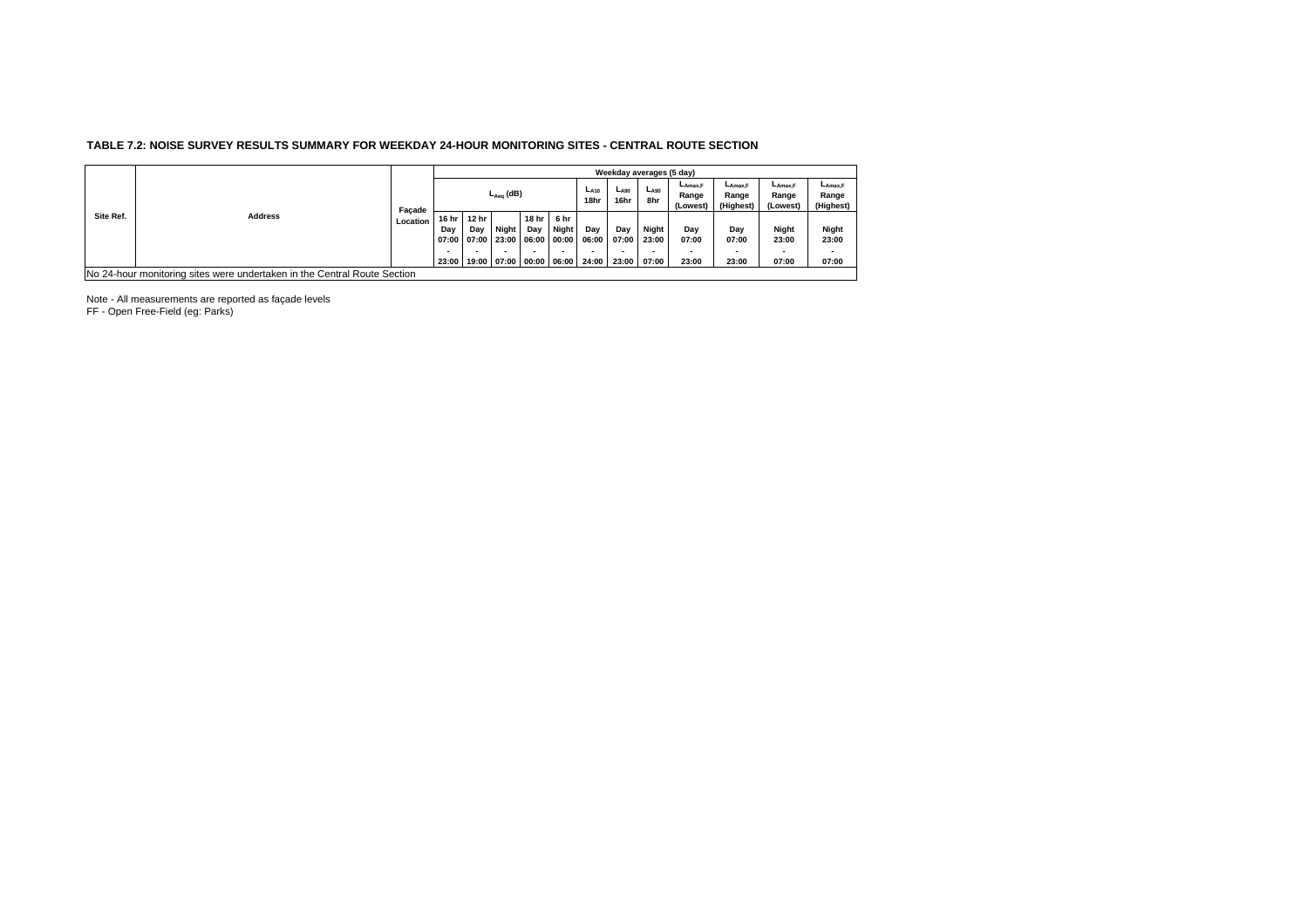## **TABLE 7.2: NOISE SURVEY RESULTS SUMMARY FOR WEEKDAY 24-HOUR MONITORING SITES - CENTRAL ROUTE SECTION**

|           |                                                                          |          |                       |                                               |                |              |                                          |                       | Weekday averages (5 day) |                         |                                          |                                           |                                          |                                         |
|-----------|--------------------------------------------------------------------------|----------|-----------------------|-----------------------------------------------|----------------|--------------|------------------------------------------|-----------------------|--------------------------|-------------------------|------------------------------------------|-------------------------------------------|------------------------------------------|-----------------------------------------|
|           |                                                                          | Facade   |                       |                                               | $L_{Aea}$ (dB) |              |                                          | $L_{A10}$<br>18hr     | $L_{A90}$<br>16hr        | $L_{A90}$<br>8hr        | $L_{\text{Amax}}$ F<br>Range<br>(Lowest) | $L_{\text{Amax}}$ F<br>Range<br>(Highest) | $L_{\text{Amax.F}}$<br>Range<br>(Lowest) | $L_{\text{Amax}}$<br>Range<br>(Highest) |
| Site Ref. | <b>Address</b>                                                           | Location | 16 hr<br>Day<br>23:00 | 12 hr<br>Day<br>07:00 07:00 23:00 06:00 00:00 | <b>Night</b>   | 18 hr<br>Day | 6 hr<br>Night<br>19:00 07:00 00:00 06:00 | Dav<br>06:00<br>24:00 | Day<br>07:00<br>23:00    | Night<br>23:00<br>07:00 | Dav<br>07:00<br>23:00                    | Day<br>07:00<br>23:00                     | Night<br>23:00<br>07:00                  | Night<br>23:00<br>07:00                 |
|           |                                                                          |          |                       |                                               |                |              |                                          |                       |                          |                         |                                          |                                           |                                          |                                         |
|           | No 24-hour monitoring sites were undertaken in the Central Route Section |          |                       |                                               |                |              |                                          |                       |                          |                         |                                          |                                           |                                          |                                         |

Note - All measurements are reported as façade levels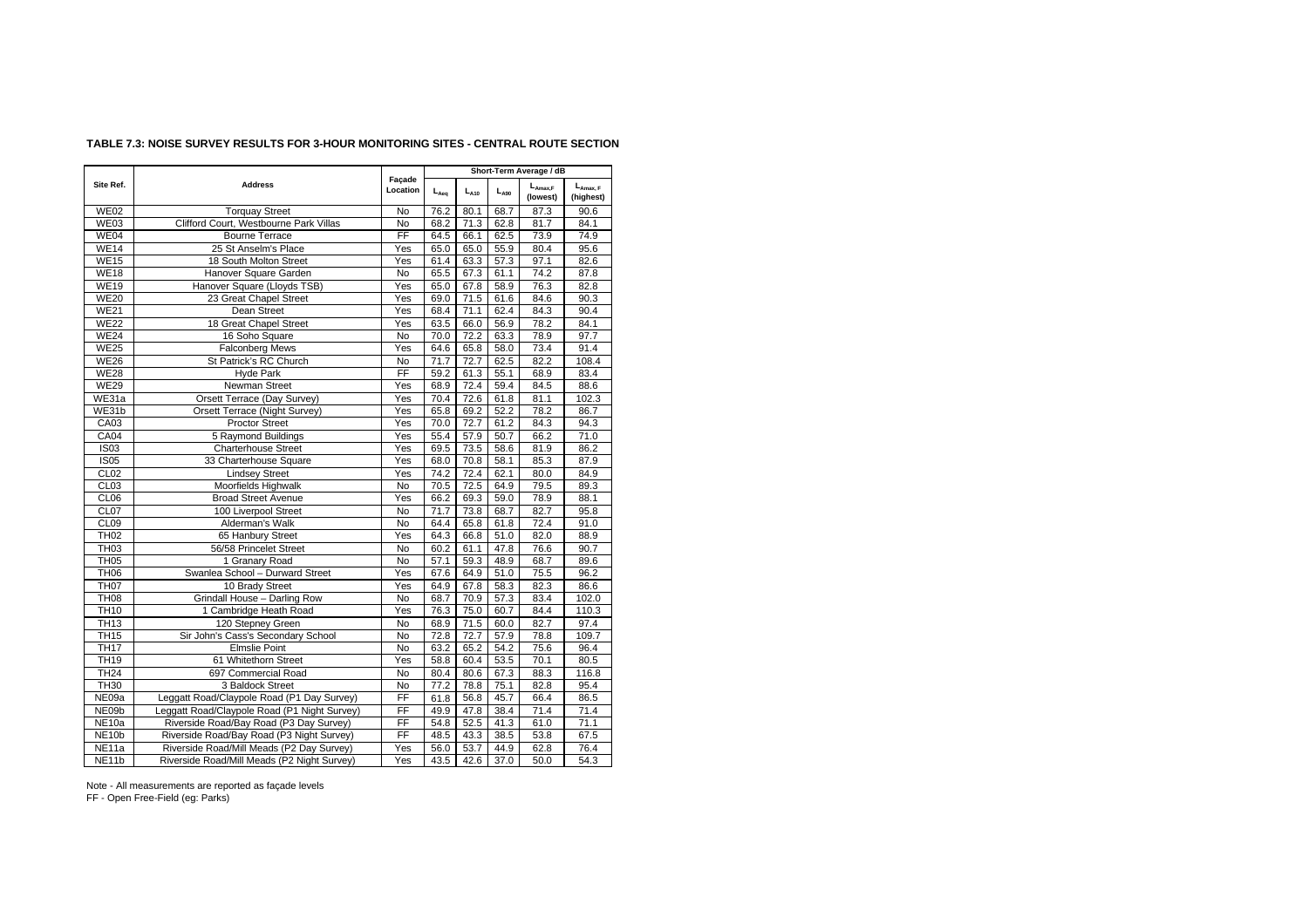|                    |                                              |                        |           |           |           | Short-Term Average / dB  |                            |
|--------------------|----------------------------------------------|------------------------|-----------|-----------|-----------|--------------------------|----------------------------|
| Site Ref.          | <b>Address</b>                               | Façade<br>Location     | $L_{Aeq}$ | $L_{A10}$ | $L_{A90}$ | $L_{Amax,F}$<br>(lowest) | $L_{Amax, F}$<br>(highest) |
| <b>WE02</b>        | <b>Torquay Street</b>                        | <b>No</b>              | 76.2      | 80.1      | 68.7      | 87.3                     | 90.6                       |
| WE03               | Clifford Court. Westbourne Park Villas       | <b>No</b>              | 68.2      | 71.3      | 62.8      | 81.7                     | 84.1                       |
| WE04               | <b>Bourne Terrace</b>                        | $\overline{FF}$        | 64.5      | 66.1      | 62.5      | 73.9                     | 74.9                       |
| WE14               | 25 St Anselm's Place                         | Yes                    | 65.0      | 65.0      | 55.9      | 80.4                     | 95.6                       |
| WE15               | 18 South Molton Street                       | Yes                    | 61.4      | 63.3      | 57.3      | 97.1                     | 82.6                       |
| <b>WE18</b>        | Hanover Square Garden                        | <b>No</b>              | 65.5      | 67.3      | 61.1      | 74.2                     | 87.8                       |
| <b>WE19</b>        | Hanover Square (Lloyds TSB)                  | Yes                    | 65.0      | 67.8      | 58.9      | 76.3                     | 82.8                       |
| <b>WE20</b>        | 23 Great Chapel Street                       | Yes                    | 69.0      | 71.5      | 61.6      | 84.6                     | 90.3                       |
| <b>WE21</b>        | Dean Street                                  | Yes                    | 68.4      | 71.1      | 62.4      | 84.3                     | 90.4                       |
| <b>WE22</b>        | 18 Great Chapel Street                       | Yes                    | 63.5      | 66.0      | 56.9      | 78.2                     | 84.1                       |
| <b>WE24</b>        | 16 Soho Square                               | No                     | 70.0      | 72.2      | 63.3      | 78.9                     | 97.7                       |
| <b>WE25</b>        | <b>Falconberg Mews</b>                       | Yes                    | 64.6      | 65.8      | 58.0      | 73.4                     | 91.4                       |
| <b>WE26</b>        | St Patrick's RC Church                       | <b>No</b>              | 71.7      | 72.7      | 62.5      | 82.2                     | 108.4                      |
| <b>WE28</b>        | Hyde Park                                    | FF                     | 59.2      | 61.3      | 55.1      | 68.9                     | 83.4                       |
| <b>WE29</b>        | Newman Street                                | Yes                    | 68.9      | 72.4      | 59.4      | 84.5                     | 88.6                       |
| WE31a              | Orsett Terrace (Day Survey)                  | Yes                    | 70.4      | 72.6      | 61.8      | 81.1                     | 102.3                      |
| WE31b              | Orsett Terrace (Night Survey)                | Yes                    | 65.8      | 69.2      | 52.2      | 78.2                     | 86.7                       |
| CA03               | Proctor Street                               | Yes                    | 70.0      | 72.7      | 61.2      | 84.3                     | 94.3                       |
| CA04               | 5 Raymond Buildings                          | Yes                    | 55.4      | 57.9      | 50.7      | 66.2                     | 71.0                       |
| <b>IS03</b>        | <b>Charterhouse Street</b>                   | Yes                    | 69.5      | 73.5      | 58.6      | 81.9                     | 86.2                       |
| <b>IS05</b>        | 33 Charterhouse Square                       | Yes                    | 68.0      | 70.8      | 58.1      | 85.3                     | 87.9                       |
| CL02               | <b>Lindsey Street</b>                        | Yes                    | 74.2      | 72.4      | 62.1      | 80.0                     | 84.9                       |
| CL03               | Moorfields Highwalk                          | <b>No</b>              | 70.5      | 72.5      | 64.9      | 79.5                     | 89.3                       |
| CL <sub>06</sub>   | <b>Broad Street Avenue</b>                   | Yes                    | 66.2      | 69.3      | 59.0      | 78.9                     | 88.1                       |
| CL07               | 100 Liverpool Street                         | No                     | 71.7      | 73.8      | 68.7      | 82.7                     | 95.8                       |
| CL09               | Alderman's Walk                              | <b>No</b>              | 64.4      | 65.8      | 61.8      | 72.4                     | 91.0                       |
| <b>TH02</b>        | 65 Hanbury Street                            | Yes                    | 64.3      | 66.8      | 51.0      | 82.0                     | 88.9                       |
| <b>TH03</b>        | 56/58 Princelet Street                       | <b>No</b>              | 60.2      | 61.1      | 47.8      | 76.6                     | 90.7                       |
| TH <sub>05</sub>   | 1 Granary Road                               | No                     | 57.1      | 59.3      | 48.9      | 68.7                     | 89.6                       |
| <b>TH06</b>        | Swanlea School - Durward Street              | Yes                    | 67.6      | 64.9      | 51.0      | 75.5                     | 96.2                       |
| <b>TH07</b>        | 10 Brady Street                              | Yes                    | 64.9      | 67.8      | 58.3      | 82.3                     | 86.6                       |
| <b>TH08</b>        | Grindall House - Darling Row                 | <b>No</b>              | 68.7      | 70.9      | 57.3      | 83.4                     | 102.0                      |
| <b>TH10</b>        | 1 Cambridge Heath Road                       | Yes                    | 76.3      | 75.0      | 60.7      | 84.4                     | 110.3                      |
| <b>TH13</b>        | 120 Stepney Green                            | <b>No</b>              | 68.9      | 71.5      | 60.0      | 82.7                     | 97.4                       |
| <b>TH15</b>        | Sir John's Cass's Secondary School           | <b>No</b>              | 72.8      | 72.7      | 57.9      | 78.8                     | 109.7                      |
| <b>TH17</b>        | <b>Elmslie Point</b>                         | No                     | 63.2      | 65.2      | 54.2      | 75.6                     | 96.4                       |
| <b>TH19</b>        | 61 Whitethorn Street                         | Yes                    | 58.8      | 60.4      | 53.5      | 70.1                     | 80.5                       |
| TH24               | 697 Commercial Road                          | No                     | 80.4      | 80.6      | 67.3      | 88.3                     | 116.8                      |
| <b>TH30</b>        | 3 Baldock Street                             | <b>No</b>              | 77.2      | 78.8      | 75.1      | 82.8                     | 95.4                       |
| NE09a              | Leggatt Road/Claypole Road (P1 Day Survey)   | FF                     | 61.8      | 56.8      | 45.7      | 66.4                     | 86.5                       |
| NE09b              | Leggatt Road/Claypole Road (P1 Night Survey) | FF                     | 49.9      | 47.8      | 38.4      | 71.4                     | 71.4                       |
| NE <sub>10a</sub>  | Riverside Road/Bay Road (P3 Day Survey)      | FF                     | 54.8      | 52.5      | 41.3      | 61.0                     | 71.1                       |
| NE <sub>10</sub> b | Riverside Road/Bay Road (P3 Night Survey)    | $\overline{\text{FF}}$ | 48.5      | 43.3      | 38.5      | 53.8                     | 67.5                       |
| NE <sub>11a</sub>  | Riverside Road/Mill Meads (P2 Day Survey)    | $\overline{Yes}$       | 56.0      | 53.7      | 44.9      | 62.8                     | 76.4                       |
| NE11b              | Riverside Road/Mill Meads (P2 Night Survey)  | Yes                    | 43.5      | 42.6      | 37.0      | 50.0                     | 54.3                       |

## **TABLE 7.3: NOISE SURVEY RESULTS FOR 3-HOUR MONITORING SITES - CENTRAL ROUTE SECTION**

Note - All measurements are reported as façade levels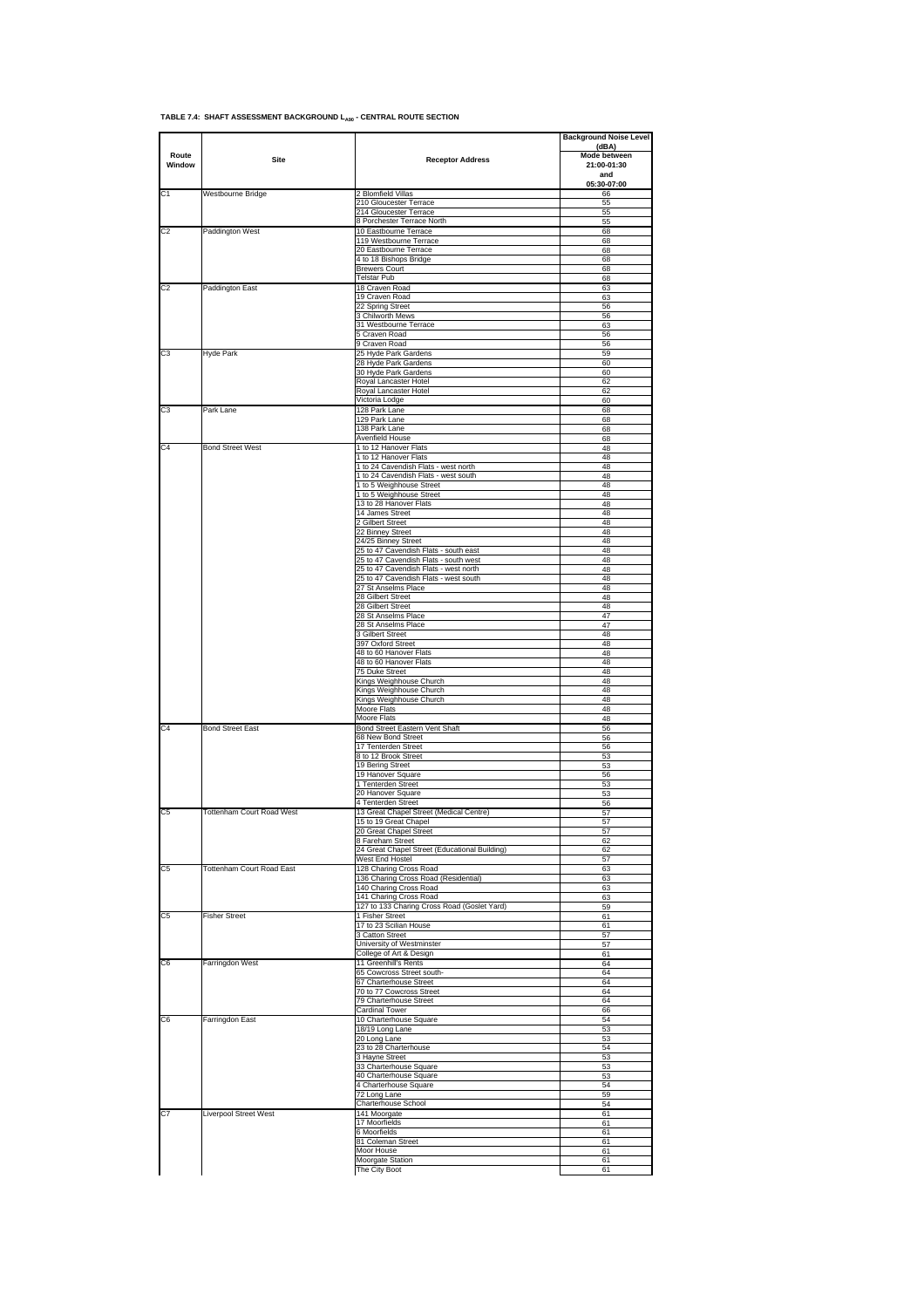|  |  | TABLE 7.4: SHAFT ASSESSMENT BACKGROUND Lago - CENTRAL ROUTE SECTION |  |
|--|--|---------------------------------------------------------------------|--|

|                 |                                  |                                                                                | <b>Background Noise Level</b><br>(dBA) |
|-----------------|----------------------------------|--------------------------------------------------------------------------------|----------------------------------------|
| Route<br>Window | Site                             | <b>Receptor Address</b>                                                        | Mode between<br>21:00-01:30            |
|                 |                                  |                                                                                | and<br>05:30-07:00                     |
| C <sub>1</sub>  | Westbourne Bridge                | 2 Blomfield Villas                                                             | 66                                     |
|                 |                                  | 210 Gloucester Terrace<br>214 Gloucester Terrace                               | 55<br>55                               |
|                 |                                  | 8 Porchester Terrace North                                                     | 55                                     |
| C <sub>2</sub>  | Paddington West                  | 10 Eastbourne Terrace<br>119 Westbourne Terrace                                | 68                                     |
|                 |                                  | 20 Eastbourne Terrace                                                          | 68<br>68                               |
|                 |                                  | 4 to 18 Bishops Bridge                                                         | 68                                     |
|                 |                                  | <b>Brewers Court</b><br>Telstar Pub                                            | 68<br>68                               |
| C <sub>2</sub>  | Paddington East                  | 18 Craven Road                                                                 | 63                                     |
|                 |                                  | 19 Craven Road<br>22 Spring Street                                             | 63<br>56                               |
|                 |                                  | 3 Chilworth Mews                                                               | 56                                     |
|                 |                                  | 31 Westbourne Terrace                                                          | 63                                     |
|                 |                                  | 5 Craven Road<br>9 Craven Road                                                 | 56<br>56                               |
| C <sub>3</sub>  | Hyde Park                        | 25 Hyde Park Gardens                                                           | 59                                     |
|                 |                                  | 28 Hyde Park Gardens                                                           | 60                                     |
|                 |                                  | 30 Hyde Park Gardens<br>Royal Lancaster Hotel                                  | 60<br>62                               |
|                 |                                  | Royal Lancaster Hotel                                                          | 62                                     |
| C <sub>3</sub>  | Park Lane                        | Victoria Lodge                                                                 | 60                                     |
|                 |                                  | 128 Park Lane<br>129 Park Lane                                                 | 68<br>68                               |
|                 |                                  | 138 Park Lane                                                                  | 68                                     |
| C <sub>4</sub>  | <b>Bond Street West</b>          | Avenfield House<br>1 to 12 Hanover Flats                                       | 68<br>48                               |
|                 |                                  | 1 to 12 Hanover Flats                                                          | 48                                     |
|                 |                                  | 1 to 24 Cavendish Flats - west north                                           | 48                                     |
|                 |                                  | 1 to 24 Cavendish Flats - west south<br>1 to 5 Weighhouse Street               | 48<br>48                               |
|                 |                                  | 1 to 5 Weighhouse Street                                                       | 48                                     |
|                 |                                  | 13 to 28 Hanover Flats                                                         | 48                                     |
|                 |                                  | 14 James Street<br>2 Gilbert Street                                            | 48<br>48                               |
|                 |                                  | 22 Binney Street                                                               | 48                                     |
|                 |                                  | 24/25 Binney Street                                                            | 48<br>48                               |
|                 |                                  | 25 to 47 Cavendish Flats - south east<br>25 to 47 Cavendish Flats - south west | 48                                     |
|                 |                                  | 25 to 47 Cavendish Flats - west north                                          | 48                                     |
|                 |                                  | 25 to 47 Cavendish Flats - west south<br>27 St Anselms Place                   | 48<br>48                               |
|                 |                                  | 28 Gilbert Street                                                              | 48                                     |
|                 |                                  | 28 Gilbert Street                                                              | 48                                     |
|                 |                                  | 28 St Anselms Place<br>28 St Anselms Place                                     | 47<br>47                               |
|                 |                                  | 3 Gilbert Street                                                               | 48                                     |
|                 |                                  | 397 Oxford Street                                                              | 48<br>48                               |
|                 |                                  | 48 to 60 Hanover Flats<br>48 to 60 Hanover Flats                               | 48                                     |
|                 |                                  | 75 Duke Street                                                                 | 48                                     |
|                 |                                  | Kings Weighhouse Church<br>Kings Weighhouse Church                             | 48<br>48                               |
|                 |                                  | Kings Weighhouse Church                                                        | 48                                     |
|                 |                                  | Moore Flats                                                                    | 48                                     |
| C <sub>4</sub>  | <b>Bond Street East</b>          | Moore Flats<br>Bond Street Eastern Vent Shaft                                  | 48<br>56                               |
|                 |                                  | 68 New Bond Street                                                             | 56                                     |
|                 |                                  | 17 Tenterden Street<br>8 to 12 Brook Street                                    | 56<br>53                               |
|                 |                                  | 19 Bering Street                                                               | 53                                     |
|                 |                                  | 19 Hanover Square                                                              | 56                                     |
|                 |                                  | 1 Tenterden Street<br>20 Hanover Square                                        | 53<br>53                               |
|                 |                                  | 4 Tenterden Street                                                             | 56                                     |
| C <sub>5</sub>  | Tottenham Court Road West        | 13 Great Chapel Street (Medical Centre)                                        | 57                                     |
|                 |                                  | 15 to 19 Great Chapel<br>20 Great Chapel Street                                | 57<br>57                               |
|                 |                                  | 8 Fareham Street                                                               | 62                                     |
|                 |                                  | 24 Great Chapel Street (Educational Building)<br>West End Hostel               | 62<br>57                               |
| C <sub>5</sub>  | <b>Tottenham Court Road East</b> | 128 Charing Cross Road                                                         | 63                                     |
|                 |                                  | 136 Charing Cross Road (Residential)                                           | 63                                     |
|                 |                                  | 140 Charing Cross Road<br>141 Charing Cross Road                               | 63<br>63                               |
|                 |                                  | 127 to 133 Charing Cross Road (Goslet Yard)                                    | 59                                     |
| C <sub>5</sub>  | <b>Fisher Street</b>             | 1 Fisher Street                                                                | 61                                     |
|                 |                                  | 17 to 23 Scilian House<br>3 Catton Street                                      | 61<br>57                               |
|                 |                                  | University of Westminster                                                      | 57                                     |
| C6              | Farringdon West                  | College of Art & Design<br>11 Greenhill's Rents                                | 61<br>64                               |
|                 |                                  | 65 Cowcross Street south-                                                      | 64                                     |
|                 |                                  | 67 Charterhouse Street                                                         | 64                                     |
|                 |                                  | 70 to 77 Cowcross Street<br>79 Charterhouse Street                             | 64<br>64                               |
|                 |                                  | Cardinal Tower                                                                 | 66                                     |
| C <sub>6</sub>  | Farringdon East                  | 10 Charterhouse Square                                                         | 54<br>53                               |
|                 |                                  | 18/19 Long Lane<br>20 Long Lane                                                | 53                                     |
|                 |                                  | 23 to 28 Charterhouse                                                          | 54                                     |
|                 |                                  | 3 Hayne Street<br>33 Charterhouse Square                                       | 53<br>53                               |
|                 |                                  | 40 Charterhouse Square                                                         | 53                                     |
|                 |                                  | 4 Charterhouse Square                                                          | 54                                     |
|                 |                                  | 72 Long Lane<br>Charterhouse School                                            | 59<br>54                               |
| C7              | Liverpool Street West            | 141 Moorgate                                                                   | 61                                     |
|                 |                                  | 17 Moorfields                                                                  | 61                                     |
|                 |                                  | 6 Moorfields<br>81 Coleman Street                                              | 61<br>61                               |
|                 |                                  | Moor House                                                                     | 61                                     |
|                 |                                  | Moorgate Station                                                               | 61                                     |
|                 |                                  | The City Boot                                                                  | 61                                     |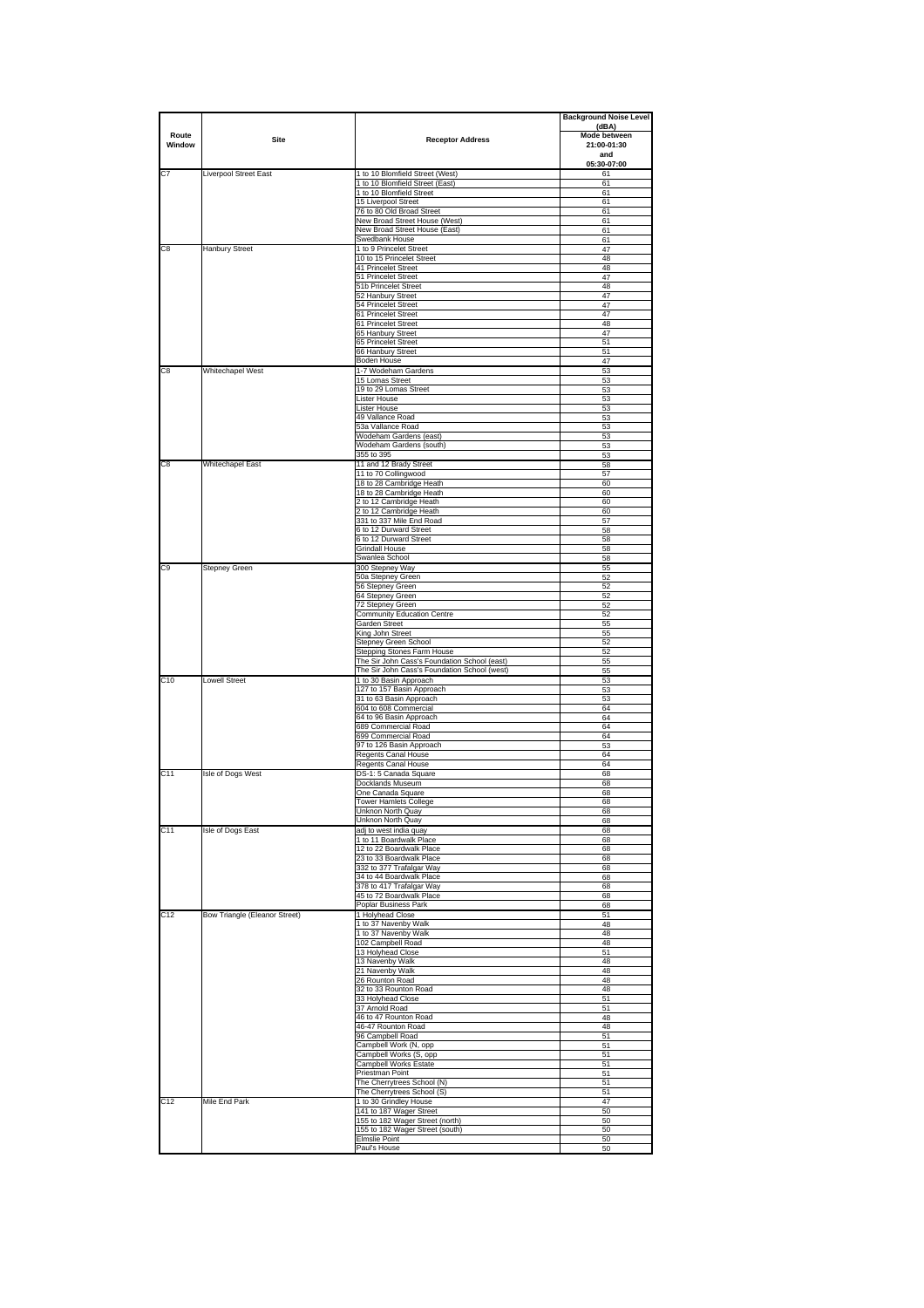|                 |                               |                                                                        | <b>Background Noise Level</b> |
|-----------------|-------------------------------|------------------------------------------------------------------------|-------------------------------|
| Route           |                               |                                                                        | (dBA)<br>Mode between         |
| Window          | Site                          | <b>Receptor Address</b>                                                | 21:00-01:30                   |
|                 |                               |                                                                        | and                           |
| C7              | Liverpool Street East         | 1 to 10 Blomfield Street (West)                                        | 05:30-07:00<br>61             |
|                 |                               | 1 to 10 Blomfield Street (East)                                        | 61                            |
|                 |                               | 1 to 10 Blomfield Street<br>15 Liverpool Street                        | 61<br>61                      |
|                 |                               | 76 to 80 Old Broad Street                                              | 61                            |
|                 |                               | New Broad Street House (West)                                          | 61                            |
|                 |                               | New Broad Street House (East)<br>Swedbank House                        | 61<br>61                      |
| C8              | <b>Hanbury Street</b>         | 1 to 9 Princelet Street                                                | 47                            |
|                 |                               | 10 to 15 Princelet Street                                              | 48                            |
|                 |                               | 41 Princelet Street<br>51 Princelet Street                             | 48<br>47                      |
|                 |                               | 51b Princelet Street                                                   | 48                            |
|                 |                               | 52 Hanbury Street                                                      | 47                            |
|                 |                               | 54 Princelet Street<br>61 Princelet Street                             | 47<br>47                      |
|                 |                               | 61 Princelet Street                                                    | 48                            |
|                 |                               | 65 Hanbury Street<br>65 Princelet Street                               | 47<br>51                      |
|                 |                               | 66 Hanbury Street                                                      | 51                            |
|                 |                               | <b>Boden House</b>                                                     | 47                            |
| C8              | Whitechapel West              | 1-7 Wodeham Gardens<br>15 Lomas Street                                 | 53<br>53                      |
|                 |                               | 19 to 29 Lomas Street                                                  | 53                            |
|                 |                               | Lister House                                                           | 53                            |
|                 |                               | Lister House                                                           | 53                            |
|                 |                               | 49 Vallance Road<br>53a Vallance Road                                  | 53<br>53                      |
|                 |                               | Wodeham Gardens (east)                                                 | 53                            |
|                 |                               | Wodeham Gardens (south)<br>355 to 395                                  | 53<br>53                      |
| C8              | <b>Whitechapel East</b>       | 11 and 12 Brady Street                                                 | 58                            |
|                 |                               | 11 to 70 Collingwood                                                   | 57                            |
|                 |                               | 18 to 28 Cambridge Heath                                               | 60<br>60                      |
|                 |                               | 18 to 28 Cambridge Heath<br>2 to 12 Cambridge Heath                    | 60                            |
|                 |                               | 2 to 12 Cambridge Heath                                                | 60                            |
|                 |                               | 331 to 337 Mile End Road<br>6 to 12 Durward Street                     | 57<br>58                      |
|                 |                               | 6 to 12 Durward Street                                                 | 58                            |
|                 |                               | Grindall House                                                         | 58                            |
| C9              | Stepney Green                 | Swanlea School<br>300 Stepney Way                                      | 58<br>55                      |
|                 |                               | 50a Stepney Green                                                      | 52                            |
|                 |                               | 56 Stepney Green                                                       | 52                            |
|                 |                               | 64 Stepney Green<br>72 Stepney Green                                   | 52<br>52                      |
|                 |                               | <b>Community Education Centre</b>                                      | 52                            |
|                 |                               | Garden Street                                                          | 55                            |
|                 |                               | King John Street<br>Stepney Green School                               | 55<br>52                      |
|                 |                               | Stepping Stones Farm House                                             | 52                            |
|                 |                               | The Sir John Cass's Foundation School (east)                           | 55                            |
| C <sub>10</sub> | <b>Lowell Street</b>          | The Sir John Cass's Foundation School (west)<br>1 to 30 Basin Approach | 55<br>53                      |
|                 |                               | 127 to 157 Basin Approach                                              | 53                            |
|                 |                               | 31 to 63 Basin Approach                                                | 53<br>64                      |
|                 |                               | 604 to 608 Commercial<br>64 to 96 Basin Approach                       | 64                            |
|                 |                               | 689 Commercial Road                                                    | 64                            |
|                 |                               | 699 Commercial Road<br>97 to 126 Basin Approach                        | 64<br>53                      |
|                 |                               | Regents Canal House                                                    | 64                            |
|                 |                               | Regents Canal House                                                    | 64                            |
| C <sub>11</sub> | Isle of Dogs West             | DS-1: 5 Canada Square                                                  | 68<br>68                      |
|                 |                               | Docklands Museum<br>One Canada Square                                  | 68                            |
|                 |                               | <b>Tower Hamlets College</b>                                           | 68                            |
|                 |                               | Unknon North Quay<br>Unknon North Quay                                 | 68<br>68                      |
| C <sub>11</sub> | Isle of Dogs East             | adj to west india quay                                                 | 68                            |
|                 |                               | 1 to 11 Boardwalk Place                                                | 68                            |
|                 |                               | 12 to 22 Boardwalk Place<br>23 to 33 Boardwalk Place                   | 68<br>68                      |
|                 |                               | 332 to 377 Trafalgar Way                                               | 68                            |
|                 |                               | 34 to 44 Boardwalk Place                                               | 68                            |
|                 |                               | 378 to 417 Trafalgar Way<br>45 to 72 Boardwalk Place                   | 68<br>68                      |
|                 |                               | Poplar Business Park                                                   | 68                            |
| C <sub>12</sub> | Bow Triangle (Eleanor Street) | 1 Holyhead Close                                                       | 51                            |
|                 |                               | 1 to 37 Navenby Walk<br>1 to 37 Navenby Walk                           | 48<br>48                      |
|                 |                               | 102 Campbell Road                                                      | 48                            |
|                 |                               | 13 Holyhead Close                                                      | 51<br>48                      |
|                 |                               | 13 Navenby Walk<br>21 Navenby Walk                                     | 48                            |
|                 |                               | 26 Rounton Road                                                        | 48                            |
|                 |                               | 32 to 33 Rounton Road<br>33 Holyhead Close                             | 48<br>51                      |
|                 |                               | 37 Arnold Road                                                         | 51                            |
|                 |                               | 46 to 47 Rounton Road                                                  | 48                            |
|                 |                               | 46-47 Rounton Road<br>96 Campbell Road                                 | 48<br>51                      |
|                 |                               | Campbell Work (N, opp                                                  | 51                            |
|                 |                               | Campbell Works (S, opp                                                 | 51                            |
|                 |                               | Campbell Works Estate<br>Priestman Point                               | 51<br>51                      |
|                 |                               | The Cherrytrees School (N)                                             | 51                            |
|                 |                               | The Cherrytrees School (S)                                             | 51                            |
| C <sub>12</sub> | Mile End Park                 | 1 to 30 Grindley House<br>141 to 187 Wager Street                      | 47<br>50                      |
|                 |                               | 155 to 182 Wager Street (north)                                        | 50                            |
|                 |                               | 155 to 182 Wager Street (south)                                        | 50                            |
|                 |                               | <b>Elmslie Point</b><br>Paul's House                                   | 50<br>50                      |
|                 |                               |                                                                        |                               |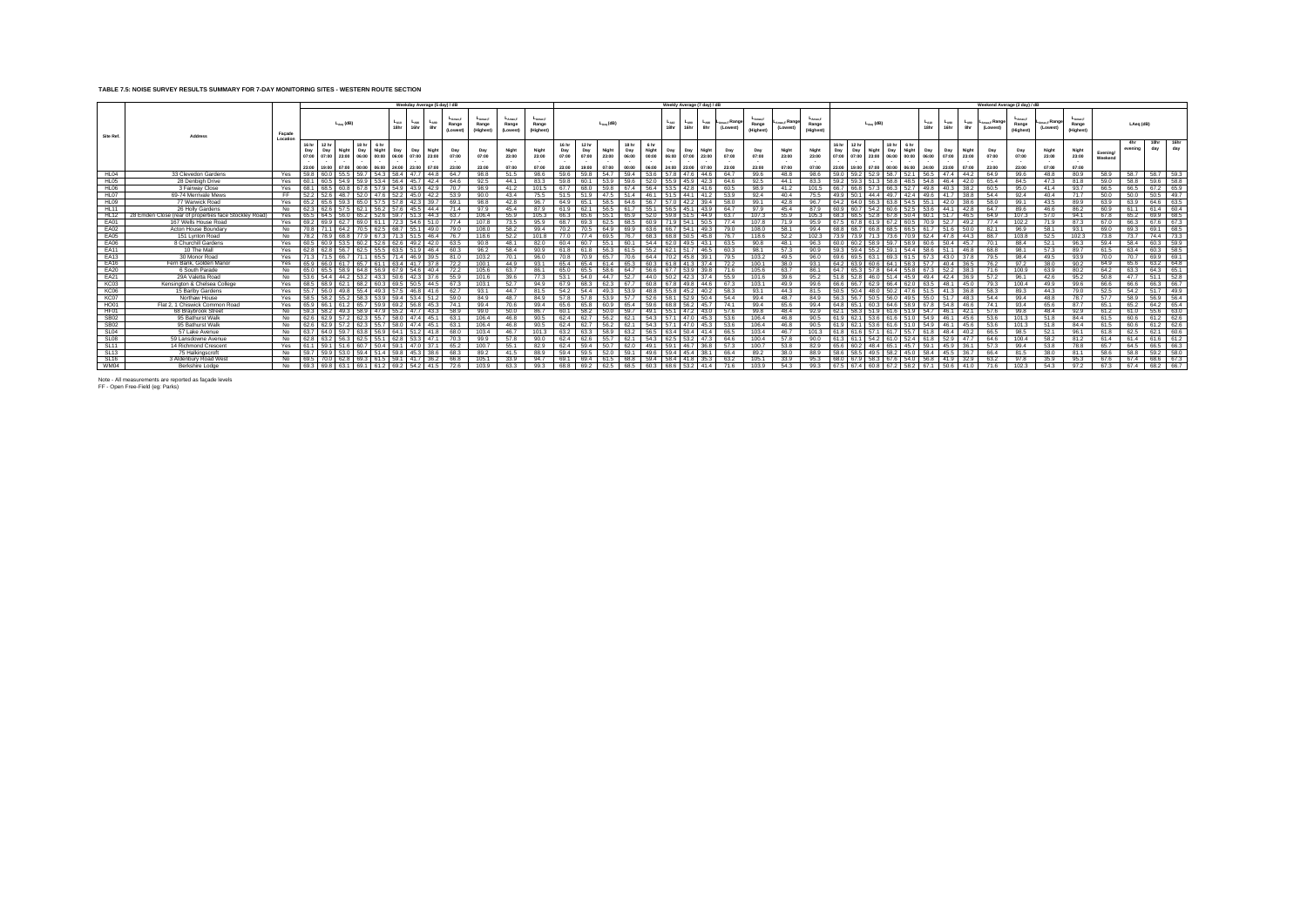## **TABLE 7.5: NOISE SURVEY RESULTS SUMMARY FOR 7-DAY MONITORING SITES - WESTERN ROUTE SECTION**

|                  |                                                        |                   |                                |                    |                       |                                      |                        |                                       |                                         | Weekday Average (5 day) / dB |                    |                                   |                                    |                                |                                       |                         |                                |                                 |                       | Weekly Average (7 day) / dB |                  |                          |                               |                         |                                           |                       |                                                             |                         |                                       |                       |                       |                  | Weekend Average (2 day) / dB        |                               |                         |                                           |                     |                |             |                |
|------------------|--------------------------------------------------------|-------------------|--------------------------------|--------------------|-----------------------|--------------------------------------|------------------------|---------------------------------------|-----------------------------------------|------------------------------|--------------------|-----------------------------------|------------------------------------|--------------------------------|---------------------------------------|-------------------------|--------------------------------|---------------------------------|-----------------------|-----------------------------|------------------|--------------------------|-------------------------------|-------------------------|-------------------------------------------|-----------------------|-------------------------------------------------------------|-------------------------|---------------------------------------|-----------------------|-----------------------|------------------|-------------------------------------|-------------------------------|-------------------------|-------------------------------------------|---------------------|----------------|-------------|----------------|
| Site Ref.        | <b>Address</b>                                         | Facade<br>Locatic |                                |                    | $L_{\text{aon}}$ (dB) |                                      |                        | $L_{A10}$<br>18hr                     | L <sub>A90</sub><br>Lago<br>16hr<br>8hr | LAmax F<br>Range<br>(Lowest) | Range<br>(Highest) | $L_{Amax,F}$<br>Range<br>(Lowest) | $L_{Amax,F}$<br>Range<br>(Highest) |                                |                                       | $L_{Aea}$ (dB)          |                                |                                 | $L_{A10}$<br>18hr     | $L_{A90}$<br>16hr           | $L_{A90}$<br>8hr | LAmax,F Rano-<br>(Lowest | -Amax.F<br>Range<br>(Highest) | max.F Rangu<br>(Lowest) | L <sub>Amax.F</sub><br>Range<br>(Highest) |                       | $L_{\text{dec}}$ (dB)                                       |                         |                                       | $L_{A10}$<br>18hr     | $L_{A90}$<br>16hr     | $L_{A90}$<br>8hr | <sub>⊾max.F</sub> Range<br>(Lowest) | -Amax.F<br>Range<br>(Highest) | (Lowest)                | $L_{\text{Amax,F}}$<br>Range<br>(Highest) |                     | LAeg (dB)      |             |                |
|                  |                                                        |                   | 16 hr<br>Day<br>07:00<br>23:00 | Day<br>07:00 23:00 | Night<br>19:00 07:00  | 18 hr<br>Day<br>06:00 00:00<br>00:00 | 6 hr<br>Night<br>06:00 | Day<br>06:00 07:00<br>24:00 23:00     | Night<br>Dav<br>23:00<br>07:00          | Day<br>07:00<br>23:00        | 07:00<br>23:00     | Night<br>23:00<br>07:00           | Night<br>23:00<br>07:00            | 16 hr<br>Day<br>07:00<br>23:00 | <b>12 hr</b><br>Day<br>07:00<br>19:00 | Night<br>23:00<br>07:00 | 18 hr<br>Day<br>06:00<br>00:00 | 6 hr<br>Night<br>00:00<br>06:00 | Day<br>06:00<br>24:00 | Day<br>07:00<br>23:00       | 23:00<br>07:00   | Day<br>07:00<br>23:00    | Day<br>07:00<br>23:00         | Night<br>23:00<br>07:00 | Night<br>23:00<br>07:00                   | Day<br>07:00<br>23:00 | 12 <sub>hr</sub><br>Day<br>07:00<br>23:00<br>19:00<br>07:00 | 18 <sub>hr</sub><br>Day | 6 hr<br>06:00<br>00:00<br>00:00 06:00 | Day<br>06:00<br>24:00 | Day<br>07:00<br>23:00 | 23:00<br>07:00   | Day<br>07:00<br>23:00               | Day<br>07:00<br>23:00         | Night<br>23:00<br>07:00 | Night<br>23:00<br>$\sim$<br>07:00         | Evening/<br>Weekend | 4hr<br>evening | 10hr<br>day | 16hr<br>day    |
| HL04             | 33 Clevedon Gardens                                    | Yes               | 59.8                           | 60.0 55.5          |                       |                                      |                        | 59.7 54.3 58.4 47.7                   | 44.8                                    | 64.7                         | 98.8               | 51.5                              | 98.6                               | 59 6                           | 59 B                                  | 54.7                    | 59.4                           |                                 | 53.6 57.8 47.6        |                             | 44.6             | 64.7                     | 99.6                          | 48.8                    | 98.6                                      |                       | 59.2 52.9                                                   |                         | 58.7 52.1 56.5                        |                       | 47.4 44.2             |                  | 64.9                                | 99.6                          | 48.8                    | 80.9                                      | 58.9                |                |             | 58.7 58.7 59.3 |
| HL05             | 28 Denbigh Drive                                       | Yes               | 60.1                           | 60.5 54.9          |                       |                                      |                        | 59.9 53.4 56.4 45.7                   | 42.4                                    | 64.6                         | 92.5               | 44.1                              | 83.3                               | 59.8                           | 60.1                                  | 53.9                    | 59.6                           |                                 | 52.0 55.9 45.9        |                             | 42.3             | 64.6                     | 92.5                          | 44.1                    | 83.3                                      | 59.2                  | 59.3<br>51.3                                                |                         | 58.8 48.5 54.8                        |                       | 46.4                  | 42.0             | 65.4                                | 84.5                          | 47.3                    | 81.8                                      | 59.0                | 58.8           |             | 59.6 58.8      |
| HLO6             | 3 Fairway Close                                        | Yes               | 68.1                           | 68.5 60.8          |                       |                                      | <b>57 Q</b>            | 54.9                                  | 42.9<br>43.9                            | 70.7                         | 98.9               | 41.2                              | 101.5                              | 677                            |                                       |                         |                                |                                 | 53.5                  | 42.8                        |                  | 60.5                     | 98.9                          | 41.2                    | 101.5                                     | $-66.7$               | 66.8                                                        | 66.3<br>57.3            | 52.7                                  | 49.8                  | 40.3                  | 38.2             | 60.5                                | 95.0                          | 41.4                    | 93.7                                      | 66.5                | 66.5           |             | 67.2 65.9      |
| HL07             | 69-74 Merrivale Mews                                   | FF.               | 52.2                           | 526 487            |                       |                                      |                        | 52.0 47.6 52.2 45.0                   |                                         | 42.2 53.9                    | 90.0               | 43.4                              |                                    |                                |                                       |                         |                                | 46.1                            | 51.5                  | 44.1                        | 41.2             | 53.9                     | 92.4                          | 40.4                    | 75.5                                      |                       | 50.1                                                        | 49.7<br>444             | 42.4                                  | 49.6                  | 41.7                  | 38.8             | 54.4                                | 92.4                          | 40.4                    | 71.7                                      | 50.0                | 50.0           |             | 50.5 49.7      |
| HL09             | 77 Warwick Road                                        | Yes               | 65.2                           |                    |                       |                                      |                        |                                       | 39.7<br>423                             | 69.1                         | 98.8               | 42.8                              | 96.                                | 64.9                           |                                       |                         |                                |                                 | 570                   | 42.2                        | 39.4 I           | 58.0                     | 99.1                          | 42.8                    | 96.7                                      | 64.2                  | 64.0                                                        | 638<br>56.3             | 54.5                                  | 55.1                  | 42.0                  | 38.6             | 58.0                                | 99.1                          | 43.5                    | 89.9                                      | 63.9                | 63.9           | 64.6        | 63.5           |
| <b>HL11</b>      | 26 Holly Gardens                                       | No.               | 62.3                           | 62.6 57.5          |                       |                                      |                        | 62.1 56.2 57.6 45.5                   |                                         | 44.4<br>71.4                 | 97.9               | 45.4                              | 87.9                               | 619                            | 62 ·                                  |                         |                                | 55.1                            | 56.5 45.1             |                             | 439              | 64.7                     | 97.9                          | 45.4                    | 87.9                                      | 60.9                  | 60.7<br>54.2                                                |                         | 60.6 52.5 53.6                        |                       | 44.1                  | 42.8             | 64.7                                | 89.6                          | 46.6                    | 86.2                                      | 60.9                | 61.1           |             | 61.4 60.4      |
| <b>HL12</b>      | 28 Emden Close (rear of properties face Stockley Road) | Yes               | 65.5                           |                    |                       |                                      |                        |                                       |                                         | 44.3<br>63.7                 | 106.4              | 55.9                              | 105.3                              | 66.3                           |                                       |                         |                                |                                 |                       |                             | 44.9             | 63.7                     | 107.3                         | 55.9                    | 105.3                                     |                       |                                                             |                         |                                       | 50.4 60.1             | 51.7                  | 46.5             | 64.9                                | 107.3                         | 57.0                    | 94.1                                      | 67.8                | 65.2           |             | 69.9 68.5      |
| EA01             | 167 Wells House Road                                   | Yes I             | 69.2                           | 699                | 62.7                  | 69.0 61.1                            |                        | 72.3 54.6                             |                                         | 51.0<br>77.4                 | 107.8              | 73.5                              | 95.9                               | 68.7                           | 69.3                                  | 62.5                    | 68.5                           | 60.9                            |                       | 71.9 54.1                   | 50.5             | 77.4                     | 107.8                         | 71.9                    | 95.9                                      |                       | 67 R<br>619                                                 | 67.2                    |                                       | 60.5 70.9             | 52.7                  | 49.2             | 77.4                                | 102.2                         | 71.9                    | 87.3                                      | 67.0                | 66.3           | 67.6        | 67.3           |
| <b>EA02</b>      | Acton House Boundary                                   | No.               |                                |                    |                       |                                      |                        |                                       | 49 N                                    | 79 O                         | 108.0              | 58.2                              | 994                                |                                |                                       |                         |                                |                                 |                       | 54 1                        |                  | 79 O                     | 108.0                         | 58.1                    | 994                                       |                       |                                                             |                         | 66 F                                  | 61.7                  | 51.6                  | 50.0             | 82.1                                | 969                           | 58.1                    | 93.1                                      | 690                 | 69.3           | 69.1        | 68.5           |
| EA05             | 151 Lynton Road                                        | No                | 78.2                           |                    |                       |                                      |                        |                                       | 464<br>515                              | 76.7                         | 118.6              | 52.2                              | 101.8                              |                                |                                       |                         |                                |                                 | 68 8 I                | 50.5                        |                  | 76.7                     | 118.6                         | 52.2                    | 102.3                                     |                       |                                                             |                         |                                       | 624                   | 47 R                  | -44.3            | 88.7                                | 103.8                         | 52.5                    | 102.3                                     | 73.8                | 73.7           | 74.4        | 73.3           |
| EA06             | 8 Churchill Gardens                                    | Yes               | 60.5                           |                    |                       |                                      |                        |                                       | 42.0<br>49.2                            | 63.5                         | 90.8               | 48.1                              | 82.0                               | 60.4                           |                                       |                         |                                | 54.4                            |                       | 62.0 49.5                   | 43.1             | 63.5                     | 90.8                          | 48.1                    | 96.3                                      |                       | 60.2                                                        |                         | 58.9                                  | 60.6                  | 50.4                  | 45.7             | 70.1                                | 88.4                          | 52.1                    | 96.3                                      | 59.4                | 58.4           | 60.3        | 59.9           |
| <b>EA11</b>      | 10 The Mall                                            | Yes               | 62.8                           | 62 B               | 56.7                  |                                      |                        | 63.5 51.9                             | 46.4                                    | 60.3                         | 96.2               | 58.4                              | 90.9                               | 61.8                           |                                       |                         |                                | 55.2                            | 621                   | 517                         | 46.5             | 60.3                     | 98.1                          | 57.3                    | 90.9                                      |                       | 594<br>$-55.2$                                              | 591                     | 544                                   | 58.6                  | 51.1                  | 46.8             | 68.8                                | 98.1                          | 57.3                    | 89.7                                      | 61.5                | 63.4           | 60.3        | 58.5           |
| <b>EA13</b>      | 30 Monor Road                                          | Yes               | 713                            |                    |                       |                                      |                        |                                       | 39.5<br>46.9                            | 81 O                         | 103.2              | 70.1                              | 96.0                               | <b>70.8</b>                    |                                       |                         |                                | 644                             |                       | 45.8                        |                  | 79.5                     | 103.2                         | 49.5                    | 96.0                                      |                       | 6Q F                                                        | 69.3                    |                                       | 67.3                  | 43.0                  | 37 8             | 79.5                                | 98.4                          | 49.5                    | 93.9                                      | 70.0                | 70.7           |             | 69.9 69.1      |
| <b>EA16</b>      | Fern Bank, Golden Manor                                | Yes               | 65.9                           | 66.0 61.7          |                       | 657 611                              |                        | 63.4 41.7                             |                                         | 37.8<br>72.2                 | 100.1              | 44.9                              | 93.1                               | 65.4                           | 654                                   | 614                     | 65.3                           | 60.3                            | 61.8                  | 41.3                        | 374              | 72.2                     | 100.1                         | 38.0                    | 93.1                                      | 64.2                  | 63.9                                                        | 60 6 I                  | 64.1<br>58.3                          | 57.7                  | 40.4                  | 36.5             | 76.2                                | 97.2                          | 38.0                    | 90.2                                      | 64.9                | 65.6           |             | 63.2 64.8      |
| <b>EA20</b>      | 6 South Parade                                         | No                | 65.0                           | 655 589            |                       |                                      |                        | 64.8 56.9 67.9 54.6                   |                                         | 40.4<br>72.2                 | 105.6              | 63.7                              | 86.1                               | 65 O                           |                                       | 58 6                    | 64.7                           | 56.6                            |                       | 67.7 53.9                   | 30 B L           | 71.6                     | 105.6                         | 63.7                    | 86.1                                      | 64.7                  | 65.3                                                        |                         | 64.4<br>55.8                          | 673                   | 52.2                  | 38.3             | 71.6                                | 100.9                         | 63.9                    | 80.2                                      | 64.2                | 63.3           |             | 64.3 65.1      |
| EA21             | 29A Valetta Road                                       | No.               | 53.6                           | 54.4 44.2          |                       |                                      |                        | 53.2 43.3 50.6 42.3                   |                                         | 37.6<br>55.9                 | 101.6              | 39.6                              | 77.3                               | 53.1                           |                                       |                         | 52.7                           | 44.0                            |                       | $50.2$ 42.3                 | 37.4             | 55.9                     | 101.6                         | 39.6                    | 95.2                                      |                       | 52.8                                                        | 46.0                    | 51.4 45.9                             | 49.4                  | 42.4                  | 36.9             | 57.2                                | 96.1                          | 42.6                    | 95.2                                      | 50.8                | 47.7           |             | $51.1$ $52.8$  |
| KC03             | Kensington & Chelsea College                           | Yes               | 68.5                           | 68.9 62.1          |                       | 68.2 60.3                            |                        | 69.5 50.5                             | 44.5                                    | 67.3                         | 103.1              | 52.7                              | $QA$ $Q$                           |                                |                                       |                         |                                |                                 | 67.8                  | 49.8                        | 44.6             | 67.3                     | 103.1                         | 49.9                    | 99.6                                      |                       |                                                             | 62.9                    | 66.4<br>62.0                          | 63.5                  | 48.1                  | 45.0             | 79.3                                | 100.4                         | 49.9                    | 99.6                                      | 66.6                | 66.6           |             | 66.3 66.7      |
| KC <sub>06</sub> | 15 Barlby Gardens                                      | Yes               | 55.7                           |                    |                       |                                      | 49.3                   | 57.5 46.8                             |                                         | 62.7<br>41.6                 | 93.1               | 44.7                              | 81.5                               | 54.2                           |                                       |                         |                                |                                 | 55.8                  | 45.2                        | 40.2             | 58.3                     | 93.1                          | 44.3                    | 81.5                                      |                       | 50.4                                                        | 50.2<br>48.0            | 47.6                                  | 51.5                  | 41.3                  | 36.8             | 58.3                                | 89.3                          | 44.3                    | 79.0                                      | 52.5                | 54.2           |             | 51.7 49.9      |
| KC07             | Northaw House                                          | Yes               | 58.5                           |                    |                       |                                      | 153.9                  | 59.4<br>53.4                          | 51.2                                    | 59.0                         | 84.9               | 48.7                              | 84.9                               |                                |                                       |                         |                                |                                 | 58.1                  | 52.9                        | 50.4             | 54.4                     | 99.4                          | 48.7                    | 84.9                                      |                       | 56.7                                                        | 56.0<br>50.5            |                                       | 49.5 55.0             | 51.7                  | 48.3             | 54.4                                | 99.4                          | 48.8                    | 78.7                                      | 57.7                | 58.9           | 56.9        | 56.4           |
| HO01             | Flat 2, 1 Chiswick Common Road                         | Yes               |                                |                    |                       |                                      |                        |                                       | 45.3                                    | 74.1                         | 99.4               | 70.6                              | QQA                                |                                |                                       |                         |                                |                                 |                       |                             |                  | 74.1                     | 99.4                          | 65.6                    |                                           |                       |                                                             |                         |                                       |                       | 54.8                  | 46.f             | 74.1                                | 93.4                          | 65.6                    | 87.7                                      | 65.1                | 65.2           | 64.2        | 65.4           |
| HF01             | 68 Braybrook Street                                    | No                | 59.3                           | 58.2               |                       |                                      |                        | 55.2 47.                              | 43.3                                    | 58.9                         | 99.0               | 50.0                              | 86.7                               | 60.1                           |                                       |                         |                                |                                 | 55.1                  | 47.2                        |                  | 57.6                     | 99.8                          | 48.4                    | 92.9                                      |                       |                                                             |                         | 51.9                                  | 54.7                  | 46.1                  | 42.1             | 57.6                                | 99.8                          | 48.4                    | 92.9                                      | 61.2                | 61.0           |             | 55.6 63.0      |
| <b>SB02</b>      | 95 Bathurst Walk                                       | No                | 62.6                           | 62.9 57.2          |                       | 623 557                              |                        | 58.0 47.4                             | 45.1                                    | 63.1                         | 106.4              | 46.8                              | 90.5                               | 624                            | 62.7                                  |                         |                                | 543                             | 571                   | 47.0                        | 45.3             | 53.6                     | 106.4                         | 46.8                    | 90.5                                      |                       | 62.1                                                        | 61 6                    | 51.0                                  | 54.9                  | 46.1                  | 45.6             | 53.6                                | 101.3                         | 51.8                    | 84.4                                      | 61.5                | 60.6           |             | 61.2 62.6      |
| <b>SB02</b>      | 95 Bathurst Walk                                       |                   | No. 162.6                      | 629 572            |                       | 623 557                              |                        | 580 474                               | 45.1                                    | 63.1                         | 106.4              | 46.8                              | 90.5                               | 62.4                           | 62.7                                  |                         |                                | 54.3                            |                       | $571$ 470                   | 4531             | 53.6                     | 106.4                         | 46.8                    | 90.5                                      | 61 Q                  | 621                                                         | 61 6                    | 51.0                                  | 54.9                  | 46.1                  | 45.6             | 53.6                                | 101.3                         | 51.8                    | 84.4                                      | 61.5                | 60.6           |             | 61.2 62.6      |
| SL04             | 57 Lake Avenue                                         | No.               | 63.7                           | 64.0 59.7          |                       |                                      |                        | 63.8 56.9 64.1 51.2                   |                                         | 41.8<br>68.0                 | 103.4              | 46.7                              | 101.3                              | 63.2                           | 63.3                                  | 58.9                    | 63.2                           |                                 |                       | 56.5 63.4 50.4              | 41.4             | 66.5                     | 103.4                         | 46.7                    | 101.3                                     | 61.8                  | 61 6                                                        | 571                     | 61.7 55.7 61.8                        |                       | 48.4                  | 40.2             | 66.5                                | 98.5                          | 52.1                    | 96.1                                      | 61.8                | 62.5           |             | 62.1 60.6      |
| SL <sub>08</sub> | 59 Lansdowne Avenue                                    | No                | 62.8                           | 63.2 56.3          |                       | 62.5 55.1                            |                        | 62.8 53.3                             |                                         | 47.1<br>70.3                 | 99.9               | 57.8                              | 90.0                               | 62.4                           | 62 6                                  | 55.7                    | 62.1                           | 54.3                            |                       | 62.5 53.2                   | 47.3             | 64.6                     | 100.4                         | 57.8                    | 90.0                                      | 613                   | 611                                                         | 54.2                    | 61.0 52.4 61.8                        |                       | 52.9                  | 47.7             | 64.6                                | 100.4                         | 58.2                    | 81.2                                      | 61.4                | 61.4           |             | 61.6 61.2      |
| SL11             | 14 Richmond Crescent                                   | Yes               |                                |                    |                       |                                      |                        | 59.1<br>470                           | 371                                     | 652                          | 100.7              | 55.1                              | 829                                | 624                            | 59 A                                  |                         |                                |                                 | 59.1                  |                             |                  | 57.3                     | 100.7                         | 53.8                    | 82.9                                      |                       |                                                             |                         | 45.7                                  |                       | 45.9                  | 36.1             | 57.3                                | 99.4                          | 53.8                    | 78.8                                      | 65.7                | 64.5           |             | 66.5 66.3      |
| <b>SL13</b>      | 75 Halkingscroft                                       | No                | $-59.7$                        |                    | 53.0                  | 59.4                                 | 1 51.4                 | 59.8                                  | 38.6<br>45.3                            | 68.3                         | 89.2               | 41.5                              | 88.9                               | 594                            |                                       |                         |                                |                                 | 59.4                  | 45.4                        |                  | 66.4                     | 89.2                          | 38.0                    | 88.9                                      |                       | 58.5                                                        | 58.2                    | 45.0                                  | 58.4                  | 45.5                  | 36.7             | 66.4                                | 81.5                          | 38.0                    | 81.1                                      | 58.6                | 58.8           | 59.2        | 158.0          |
| <b>SL16</b>      | 3 Aldenbury Road West                                  | <b>No</b>         |                                |                    |                       |                                      |                        |                                       | 36.2                                    | 66 B                         | 105.1              | 33.9                              | 94.7                               |                                |                                       |                         |                                |                                 | 584                   |                             |                  | 63.2                     | 105.1                         | 33.9                    | 95.3                                      |                       |                                                             |                         |                                       | 56.8                  | 41.9                  | 32.9             | 63.2                                | 978                           | 35.9                    | 95.3                                      | 67.6                | 67.4           | 68.6        | 67.3           |
| WM04             | Berkshire Lodge                                        |                   |                                |                    |                       |                                      |                        | No 69.3 69.8 63.1 69.1 61.2 69.2 54.2 | 41.5                                    | 72.6                         | 103.9              | 63.3                              | 99.3                               | 68.8                           | 69.2                                  | 62.5                    | 68.5                           |                                 |                       | 60.3 68.6 53.2 41.4         |                  | 716                      | 103.9                         | 54.3                    | 99.3                                      |                       | 67.5 67.4 60.8 67.2 58.2 67.1                               |                         |                                       |                       | $50.6$ 41.0           |                  | 71.6                                | 102.3                         | 543                     | 97.2                                      | 67.3                |                |             | 67.4 68.2 66.7 |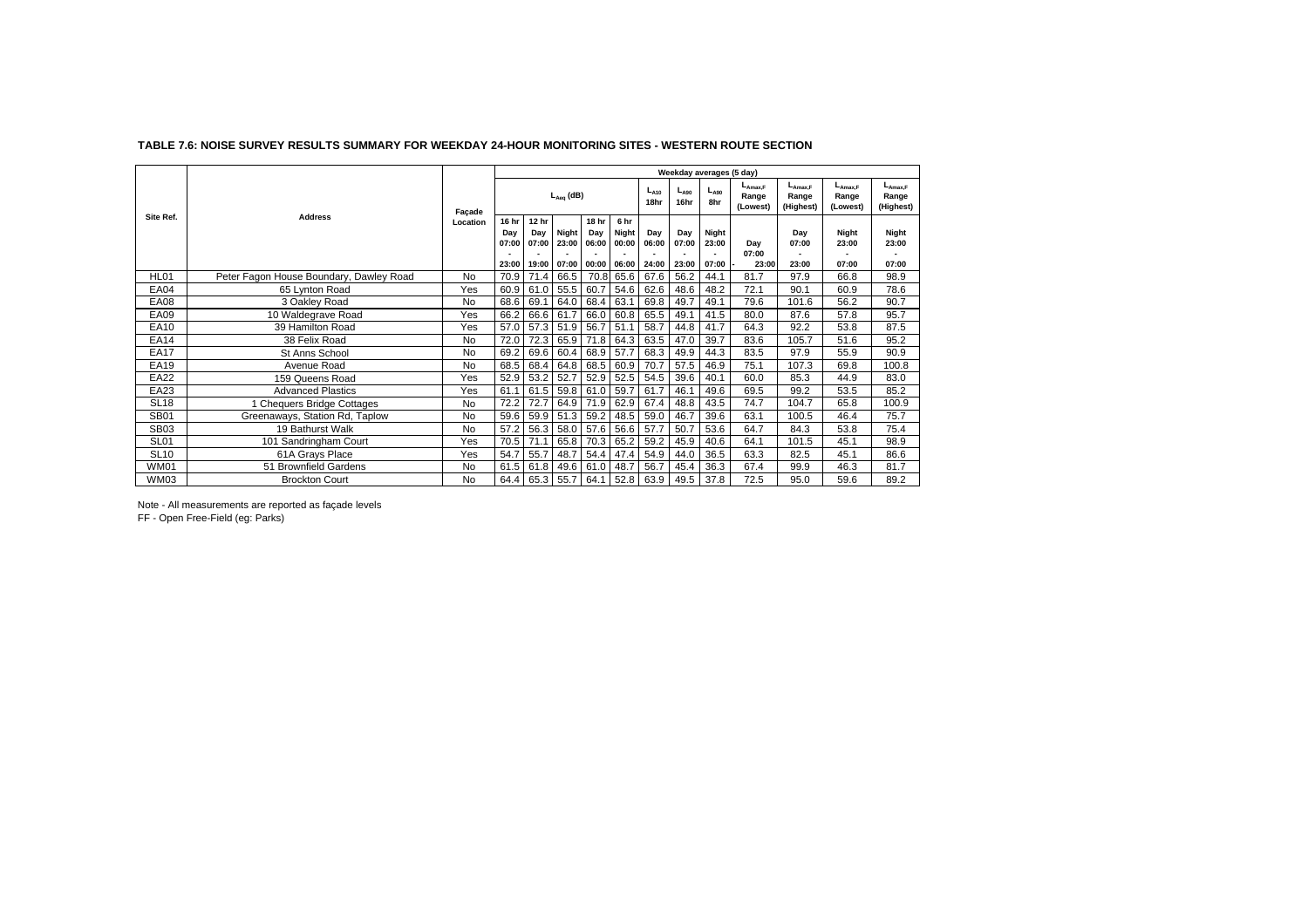|                  |                                         |           |              |                             |                |                       |                                          |                   | Weekday averages (5 day) |                  |                                   |                                    |                                    |                                    |
|------------------|-----------------------------------------|-----------|--------------|-----------------------------|----------------|-----------------------|------------------------------------------|-------------------|--------------------------|------------------|-----------------------------------|------------------------------------|------------------------------------|------------------------------------|
|                  |                                         | Façade    |              |                             | $L_{Aea}$ (dB) |                       |                                          | $L_{A10}$<br>18hr | $L_{A90}$<br>16hr        | $L_{A90}$<br>8hr | $L_{Amax,F}$<br>Range<br>(Lowest) | $L_{Amax,F}$<br>Range<br>(Highest) | $L_{A max.F}$<br>Range<br>(Lowest) | $L_{Amax,F}$<br>Range<br>(Highest) |
| Site Ref.        | <b>Address</b>                          | Location  | 16 hr<br>Dav | 12 hr<br>Dav<br>07:00 07:00 | Night<br>23:00 | 18 hr<br>Day<br>06:00 | 6 <sub>hr</sub><br><b>Night</b><br>00:00 | Dav<br>06:00      | Day<br>07:00             | Night<br>23:00   | Dav<br>07:00                      | Day<br>07:00                       | Niaht<br>23:00                     | Night<br>23:00                     |
|                  |                                         |           | 23:00        | 19:00                       | 07:00 00:00    |                       | 06:00                                    | 24:00             | 23:00                    | 07:00            | 23:00                             | 23:00                              | 07:00                              | 07:00                              |
| HL01             | Peter Fagon House Boundary, Dawley Road | No        | 70.9         | 71.4                        | 66.5           | 70.8                  | 65.6                                     | 67.6              | 56.2                     | 44.1             | 81.7                              | 97.9                               | 66.8                               | 98.9                               |
| <b>EA04</b>      | 65 Lynton Road                          | Yes       | 60.9         | 61.0                        | 55.5           | 60.7                  | 54.6                                     | 62.6              | 48.6                     | 48.2             | 72.1                              | 90.1                               | 60.9                               | 78.6                               |
| <b>EA08</b>      | 3 Oakley Road                           | No        | 68.6         | 69.1                        | 64.0           | 68.4                  | 63.1                                     | 69.8              | 49.7                     | 49.1             | 79.6                              | 101.6                              | 56.2                               | 90.7                               |
| EA09             | 10 Waldegrave Road                      | Yes       | 66.2         | 66.6                        | 61.7           | 66.0                  | 60.8                                     | 65.5              | 49.1                     | 41.5             | 80.0                              | 87.6                               | 57.8                               | 95.7                               |
| EA10             | 39 Hamilton Road                        | Yes       | 57.0         | 57.3                        | 51.9           | 56.7                  | 51.1                                     | 58.7              | 44.8                     | 41.7             | 64.3                              | 92.2                               | 53.8                               | 87.5                               |
| EA14             | 38 Felix Road                           | <b>No</b> | 72.0         | 72.3                        | 65.9           | 71.8                  | 64.3                                     | 63.5              | 47.0                     | 39.7             | 83.6                              | 105.7                              | 51.6                               | 95.2                               |
| <b>EA17</b>      | St Anns School                          | <b>No</b> | 69.2         | 69.6                        | 60.4           | 68.9                  | 57.7                                     | 68.3              | 49.9                     | 44.3             | 83.5                              | 97.9                               | 55.9                               | 90.9                               |
| EA19             | Avenue Road                             | <b>No</b> | 68.5         | 68.4                        | 64.8           | 68.5                  | 60.9                                     | 70.7              | 57.5                     | 46.9             | 75.1                              | 107.3                              | 69.8                               | 100.8                              |
| <b>EA22</b>      | 159 Queens Road                         | Yes       | 52.9         | 53.2                        | 52.7           | 52.9                  | 52.5                                     | 54.5              | 39.6                     | 40.1             | 60.0                              | 85.3                               | 44.9                               | 83.0                               |
| EA23             | <b>Advanced Plastics</b>                | Yes       | 61.1         | 61.5                        | 59.8           | 61.0                  | 59.7                                     | 61.7              | 46.1                     | 49.6             | 69.5                              | 99.2                               | 53.5                               | 85.2                               |
| <b>SL18</b>      | <b>Chequers Bridge Cottages</b>         | No        | 72.2         | 72.7                        | 64.9           | 71.9                  | 62.9                                     | 67.4              | 48.8                     | 43.5             | 74.7                              | 104.7                              | 65.8                               | 100.9                              |
| <b>SB01</b>      | Greenaways, Station Rd, Taplow          | No        | 59.6         | 59.9                        | 51.3           | 59.2                  | 48.5                                     | 59.0              | 46.7                     | 39.6             | 63.1                              | 100.5                              | 46.4                               | 75.7                               |
| SB <sub>03</sub> | 19 Bathurst Walk                        | No        | 57.2         | 56.3                        | 58.0           | 57.6                  | 56.6                                     | 57.7              | 50.7                     | 53.6             | 64.7                              | 84.3                               | 53.8                               | 75.4                               |
| <b>SL01</b>      | 101 Sandringham Court                   | Yes       | 70.5         | 71.1                        | 65.8           | 70.3                  | 65.2                                     | 59.2              | 45.9                     | 40.6             | 64.1                              | 101.5                              | 45.1                               | 98.9                               |
| <b>SL10</b>      | 61A Grays Place                         | Yes       | 54.7         | 55.7                        | 48.7           | 54.4                  | 47.4                                     | 54.9              | 44.0                     | 36.5             | 63.3                              | 82.5                               | 45.1                               | 86.6                               |
| <b>WM01</b>      | 51 Brownfield Gardens                   | No        | 61.5         | 61.8                        | 49.6           | 61.0                  | 48.7                                     | 56.7              | 45.4                     | 36.3             | 67.4                              | 99.9                               | 46.3                               | 81.7                               |
| <b>WM03</b>      | <b>Brockton Court</b>                   | <b>No</b> | 64.4         | 65.3 55.7                   |                | 64.1                  | 52.8                                     | 63.9              | 49.5                     | 37.8             | 72.5                              | 95.0                               | 59.6                               | 89.2                               |

#### **TABLE 7.6: NOISE SURVEY RESULTS SUMMARY FOR WEEKDAY 24-HOUR MONITORING SITES - WESTERN ROUTE SECTION**

Note - All measurements are reported as façade levels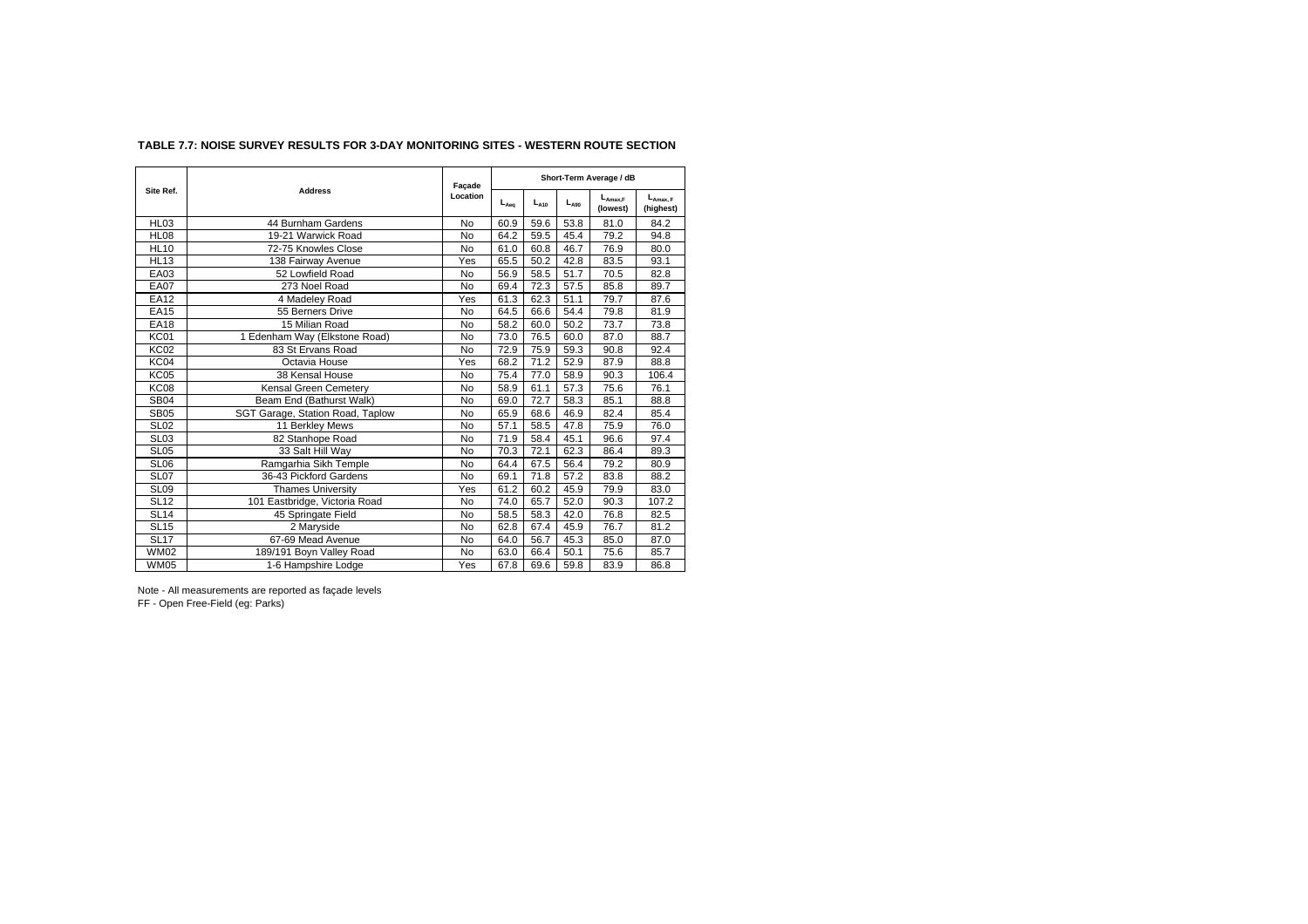## **TABLE 7.7: NOISE SURVEY RESULTS FOR 3-DAY MONITORING SITES - WESTERN ROUTE SECTION**

|                  |                                  | Façade    |           |           |           | Short-Term Average / dB  |                            |
|------------------|----------------------------------|-----------|-----------|-----------|-----------|--------------------------|----------------------------|
| Site Ref.        | <b>Address</b>                   | Location  | $L_{Aeq}$ | $L_{A10}$ | $L_{A90}$ | $L_{Amax.F}$<br>(lowest) | $L_{Amax, F}$<br>(highest) |
| HL03             | 44 Burnham Gardens               | <b>No</b> | 60.9      | 59.6      | 53.8      | 81.0                     | 84.2                       |
| <b>HL08</b>      | 19-21 Warwick Road               | <b>No</b> | 64.2      | 59.5      | 45.4      | 79.2                     | 94.8                       |
| <b>HL10</b>      | 72-75 Knowles Close              | <b>No</b> | 61.0      | 60.8      | 46.7      | 76.9                     | 80.0                       |
| <b>HL13</b>      | 138 Fairway Avenue               | Yes       | 65.5      | 50.2      | 42.8      | 83.5                     | 93.1                       |
| EA03             | 52 Lowfield Road                 | No        | 56.9      | 58.5      | 51.7      | 70.5                     | 82.8                       |
| <b>EA07</b>      | 273 Noel Road                    | No        | 69.4      | 72.3      | 57.5      | 85.8                     | 89.7                       |
| <b>EA12</b>      | 4 Madeley Road                   | Yes       | 61.3      | 62.3      | 51.1      | 79.7                     | 87.6                       |
| <b>EA15</b>      | 55 Berners Drive                 | No        | 64.5      | 66.6      | 54.4      | 79.8                     | 81.9                       |
| <b>EA18</b>      | 15 Milian Road                   | No        | 58.2      | 60.0      | 50.2      | 73.7                     | 73.8                       |
| KC01             | 1 Edenham Way (Elkstone Road)    | <b>No</b> | 73.0      | 76.5      | 60.0      | 87.0                     | 88.7                       |
| <b>KC02</b>      | 83 St Ervans Road                | <b>No</b> | 72.9      | 75.9      | 59.3      | 90.8                     | 92.4                       |
| KC04             | Octavia House                    | Yes       | 68.2      | 71.2      | 52.9      | 87.9                     | 88.8                       |
| <b>KC05</b>      | 38 Kensal House                  | <b>No</b> | 75.4      | 77.0      | 58.9      | 90.3                     | 106.4                      |
| <b>KC08</b>      | Kensal Green Cemetery            | <b>No</b> | 58.9      | 61.1      | 57.3      | 75.6                     | 76.1                       |
| <b>SB04</b>      | Beam End (Bathurst Walk)         | <b>No</b> | 69.0      | 72.7      | 58.3      | 85.1                     | 88.8                       |
| <b>SB05</b>      | SGT Garage, Station Road, Taplow | <b>No</b> | 65.9      | 68.6      | 46.9      | 82.4                     | 85.4                       |
| <b>SL02</b>      | 11 Berkley Mews                  | <b>No</b> | 57.1      | 58.5      | 47.8      | 75.9                     | 76.0                       |
| SL <sub>03</sub> | 82 Stanhope Road                 | <b>No</b> | 71.9      | 58.4      | 45.1      | 96.6                     | 97.4                       |
| <b>SL05</b>      | 33 Salt Hill Way                 | <b>No</b> | 70.3      | 72.1      | 62.3      | 86.4                     | 89.3                       |
| <b>SL06</b>      | Ramgarhia Sikh Temple            | <b>No</b> | 64.4      | 67.5      | 56.4      | 79.2                     | 80.9                       |
| SL <sub>07</sub> | 36-43 Pickford Gardens           | No        | 69.1      | 71.8      | 57.2      | 83.8                     | 88.2                       |
| SL09             | <b>Thames University</b>         | Yes       | 61.2      | 60.2      | 45.9      | 79.9                     | 83.0                       |
| <b>SL12</b>      | 101 Eastbridge, Victoria Road    | No        | 74.0      | 65.7      | 52.0      | 90.3                     | 107.2                      |
| <b>SL14</b>      | 45 Springate Field               | No        | 58.5      | 58.3      | 42.0      | 76.8                     | 82.5                       |
| <b>SL15</b>      | 2 Maryside                       | <b>No</b> | 62.8      | 67.4      | 45.9      | 76.7                     | 81.2                       |
| SL17             | 67-69 Mead Avenue                | <b>No</b> | 64.0      | 56.7      | 45.3      | 85.0                     | 87.0                       |
| <b>WM02</b>      | 189/191 Boyn Valley Road         | No        | 63.0      | 66.4      | 50.1      | 75.6                     | 85.7                       |
| <b>WM05</b>      | 1-6 Hampshire Lodge              | Yes       | 67.8      | 69.6      | 59.8      | 83.9                     | 86.8                       |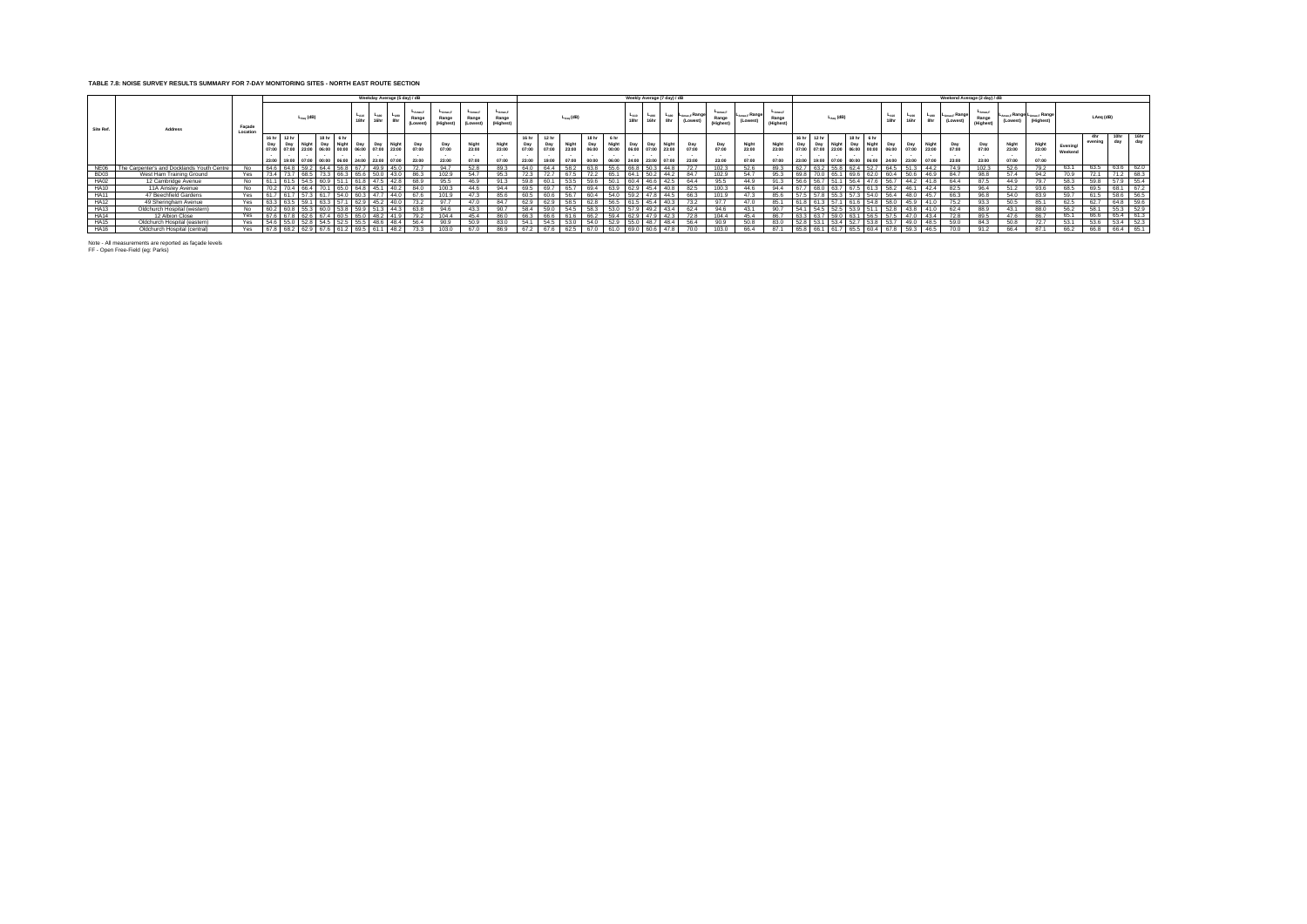## **TABLE 7.8: NOISE SURVEY RESULTS SUMMARY FOR 7-DAY MONITORING SITES - NORTH EAST ROUTE SECTION**

|             |                                            |                    |                                                                                                                        |              |                |                          |                                 |           | Weekday Average (5 day) / dB            |                              |                                    |                                          |                              |                                |                       |                         |                                |      |                   |                   | Weekly Average (7 day) / dB                                    |                                          |                              |                                       |                                      |                                     |                    |                                     |                                          |                             |                       |                         |                                         | Weekend Average (2 day) / dB    |                         |                                                     |                     |                |             |             |
|-------------|--------------------------------------------|--------------------|------------------------------------------------------------------------------------------------------------------------|--------------|----------------|--------------------------|---------------------------------|-----------|-----------------------------------------|------------------------------|------------------------------------|------------------------------------------|------------------------------|--------------------------------|-----------------------|-------------------------|--------------------------------|------|-------------------|-------------------|----------------------------------------------------------------|------------------------------------------|------------------------------|---------------------------------------|--------------------------------------|-------------------------------------|--------------------|-------------------------------------|------------------------------------------|-----------------------------|-----------------------|-------------------------|-----------------------------------------|---------------------------------|-------------------------|-----------------------------------------------------|---------------------|----------------|-------------|-------------|
| Site Ref.   | <b>Address</b>                             | Facade<br>Location |                                                                                                                        |              | $L_{Aeq}$ (dB) |                          | $L_{A10}$<br>18hr               | $L_{A90}$ | $L_{A90}$<br>8hr                        | -Amax.F<br>Range<br>(Lowest) | $L_{AMax,F}$<br>Range<br>(Highest) | L <sub>Amax,F</sub><br>Range<br>(Lowest) | LAmaxF<br>Range<br>(Highest) |                                |                       | $L_{Aeq}$ (dB)          |                                |      | $L_{A10}$<br>18hr | $L_{A90}$<br>16hr | $L_{A90}$<br>8hr                                               | ⊶ µ∟ <sub>Amax,F</sub> Range<br>(Lowest) | -Amax F<br>Range<br>(Highest | ⊶ <sub>≏max,F</sub> Range<br>(Lowest) | <b>LAmax F</b><br>Range<br>(Highest) |                                     |                    | $L_{A\text{eq}}$ (dB)               |                                          | $L_{A10}$<br>18hr           | $L_{A90}$<br>16hr     | $L_{A90}$<br>8hr        | - ∟ <sub>Amax,F</sub> Range<br>(Lowest) | $-Amax F$<br>Range<br>(Highest) | (Lowest)                | ∟ <sub>Amax.F</sub> Range L <sub>Amax.F</sub> Range |                     | LAeg (dB)      |             |             |
|             |                                            |                    | 16 <sub>hr</sub><br>07:00 07:00 23:00 06:00 00:00 06:00 07:00 23:00<br>23:00 19:00 07:00 00:00 06:00 24:00 23:00 07:00 | 12 hr<br>Day | <b>Night</b>   | $18hr$ 6 hr<br>Day Night | Day                             | Day       | <b>Nigh</b>                             | Day<br>07:00<br>23:00        | Day<br>07:00<br>23:00              | Night<br>23:00<br>07:00                  | Night<br>23:00<br>07:00      | 16 hr<br>Day<br>07:00<br>23:00 | Day<br>07:00<br>19:00 | Night<br>23:00<br>07:00 | 18 hr<br>Day<br>06:00<br>00:00 | 6 hr | Night Day         | Day               | Night<br>00:00  06:00  07:00  23:00<br>06:00 24:00 23:00 07:00 | Day<br>07:00<br>23:00                    | Day<br>07:00<br>23:00        | 23:00<br>07:00                        | 23:00                                | Day  <br>07:00 07:00<br>23:00 19:00 | 16 hr 12 hr<br>Day | Night<br>23:00 06:00<br>07:00 00:00 | 18 hr<br>6 <sub>hr</sub><br>Day<br>Night | Day<br>00:00 06:00<br>24:00 | Day<br>07:00<br>23:00 | Night<br>23:00<br>07:00 | Day<br>07:00<br>23:00                   | Day<br>07:00<br>23:00           | Night<br>23:00<br>07:00 | Night<br>23:00<br>07:00                             | Evening/<br>Weekend | 4hr<br>evening | 10hr<br>dav | 16hr<br>dav |
| NE06        | The Carpenter's and Docklands Youth Centre | No.                |                                                                                                                        |              |                |                          |                                 |           |                                         | 72.7                         | 94.7                               | 52.8                                     | 89.3                         |                                |                       |                         |                                |      |                   |                   |                                                                |                                          | 102.3                        |                                       |                                      |                                     |                    |                                     |                                          |                             |                       |                         |                                         | 102.3                           |                         |                                                     | 63.1                | 63.5           | 63.6        | 62.0        |
| <b>BD03</b> | West Ham Training Ground                   | Yes                |                                                                                                                        |              |                | 73.3                     | 663 656                         |           | 143.0                                   | 86.3                         | 102.9                              | 54.7                                     | 95.3                         | 723                            |                       | 67 P                    | 722                            |      | 641               | 50.2              | 44.2                                                           | 84.7                                     | 102.9                        | 54.7                                  |                                      |                                     |                    | 65.1                                |                                          | 60.4                        | 50 B                  | 46.9                    | 84.7                                    | <b>98.8</b>                     | 57.4                    | 94.2                                                | 70.9                |                |             | 68.3        |
| <b>HA02</b> | 12 Cambridge Avenue                        | No                 |                                                                                                                        | 61.5         |                |                          |                                 |           | 54.5   60.9   51.1   61.8   47.5   42.8 | 68.9                         | 95.5                               | 46.9                                     | 91.3                         | 59.8                           | 60.1                  | 53.5                    | 59.6                           | 50.1 |                   |                   | 60.4 46.6 42.5                                                 | 64.4                                     | 95.5                         | 44.9                                  |                                      | 56.6 56.7                           |                    | 51.1                                | 56.4 47.6                                | 56.7                        | 44.2                  | 41.8                    | 64.4                                    | 87.5                            | 44.9                    | 79.7                                                | 58.3                | 59.8           | 57.9        | 55.4        |
| <b>HA10</b> | 11A Ainslev Avenue                         | No                 | 70.2 70.4 66.4 70.1 65.0 64.8 45.1 40.2                                                                                |              |                |                          |                                 |           |                                         | 84.0                         | 100.3                              | 44.6                                     | 94.4                         | 69.5                           | 69.7                  | 65.7                    | 69.4 I                         |      |                   |                   | 63.9 62.9 45.4 40.8                                            | 82.5                                     | 100.3                        | 44.6                                  | 94.4                                 |                                     |                    |                                     | 67.7 68.0 63.7 67.5 61.3 58.2 46.1       |                             |                       | 42.4                    | 82.5                                    | 96.4                            | 51.2                    | 93.6                                                | 68.5                | 69.5           | 68.1        | 67.2        |
| <b>HA11</b> | 47 Beechfield Gardens                      | Yes                | 7 61                                                                                                                   |              |                |                          | $57.3$ 61.7 54.0 60.3 47.7 44.0 |           |                                         | 67.6                         | 101.9                              | 47.3                                     | 85.6                         | 60 F                           |                       | 56.                     |                                | 54.0 |                   |                   | 47.8 44.5                                                      |                                          | 101.9                        |                                       |                                      | 57.5 57.8                           |                    | 55.3 57.3                           |                                          | 56.4<br>54.0                | 48.0                  | 45.7                    | 66.3                                    |                                 | 54 O                    |                                                     | 59.7                |                | 58.6        | 56.5        |
| <b>HA12</b> | 49 Sheringham Avenue                       | Yes                | 63.3 63.5 59.1                                                                                                         |              |                |                          | 63.3 57.1 62.9 45.2 40.0        |           |                                         | 73.2                         | 97.7                               | 47.0                                     | 84.7                         | 62.9                           | 62.9                  | 58.5                    | 62.8                           |      |                   |                   | 56.5 61.5 45.4 40.3                                            | 73.2                                     | 97.7                         | 47.0                                  | 85.1                                 |                                     |                    | 61.8 61.3 57.1 61.6                 |                                          | 58.0<br>54.8                | 45.9                  | 41.0                    | 75.2                                    | 93.3                            | 50.5                    | 85.1                                                | 62.5                | 62.7           | 64.8        | -59.6       |
| <b>HA13</b> | Oldchurch Hospital (western)               | No                 | 60.2 60.8 55.3 60.0 53.8 59.9 51.3 44.3                                                                                |              |                |                          |                                 |           |                                         | 63.8                         | 94.6                               | 43.3                                     | 90.7                         | 58.4                           | 59.0                  | 54.5                    | 58.3                           | 53.0 |                   | 57.9 49.2         | 43.4                                                           | 62.4                                     | 94.6                         | 43.1                                  | 90.7                                 |                                     |                    | 54.1 54.5 52.5                      | 53.9                                     | 51.1<br>52.8                | 43.8                  | 41.0                    | 62.4                                    | 88.9                            | 43.1                    | 88.0                                                | 56.2                | 58.1           | 55.3        | 52.9        |
| <b>HA14</b> | 12 Albion Close                            | Yes                |                                                                                                                        |              | 626            |                          | 67.4 60.5 65.0 48.2 41.9        |           |                                         | 79.2                         | 104.4                              | 45.4                                     | 86.0                         |                                |                       |                         | 66 2                           | 594  | 62.9              |                   | 47.9 42.3                                                      |                                          | 104.4                        | 45.4                                  | 86.7                                 |                                     |                    | 59.0                                | 63.1                                     | 57.5<br>56.5                | 47.0                  | 43.4                    |                                         | 89.5                            |                         | 86.7                                                | 65.1                | 66.6           | 65.4        | 61.3        |
| <b>HA15</b> | Oldchurch Hospital (eastern)               | Yes                |                                                                                                                        |              |                |                          | $52.8$ 54.5 52.5 55.5 48.6 48.4 |           |                                         | 56.4                         | 90.9                               | 50.9                                     | 83.0                         | 54.1                           | 54.5                  | 53.0                    | 54.0                           | 52.9 |                   | 55.0 48.7         | 48.4                                                           | 56.4                                     | 90.9                         |                                       | 83.0                                 | 52.8 53.1                           |                    | 53.4                                | 52.7<br>53.8                             | 53.7                        | 49.0                  | 48.5                    | 59.0                                    | 84.3                            | 50.8                    | 72.7                                                | 53.1                | 53.6           | 53.4        | 52.3        |
| <b>HA16</b> | Oldchurch Hospital (central)               | Yes 67.8 68.2      |                                                                                                                        |              |                |                          |                                 |           | 62.9 67.6 61.2 69.5 61.1 48.2           | 73.3                         | 103.0                              | 67.0                                     | 86.9                         | 67.2                           | 67.6                  | 62.5                    | 67 O                           |      |                   | 60.6              | 47.8                                                           |                                          | 103.0                        | 66.4                                  | 87.1                                 |                                     | 65.8 66.1          | 61.7                                | 65.5                                     | 67.8                        | 59.3                  | 46.5                    | 70.0                                    | 91.2                            | 66.4                    | 87.1                                                | 66.2                | 66.8           | 66.4 65.1   |             |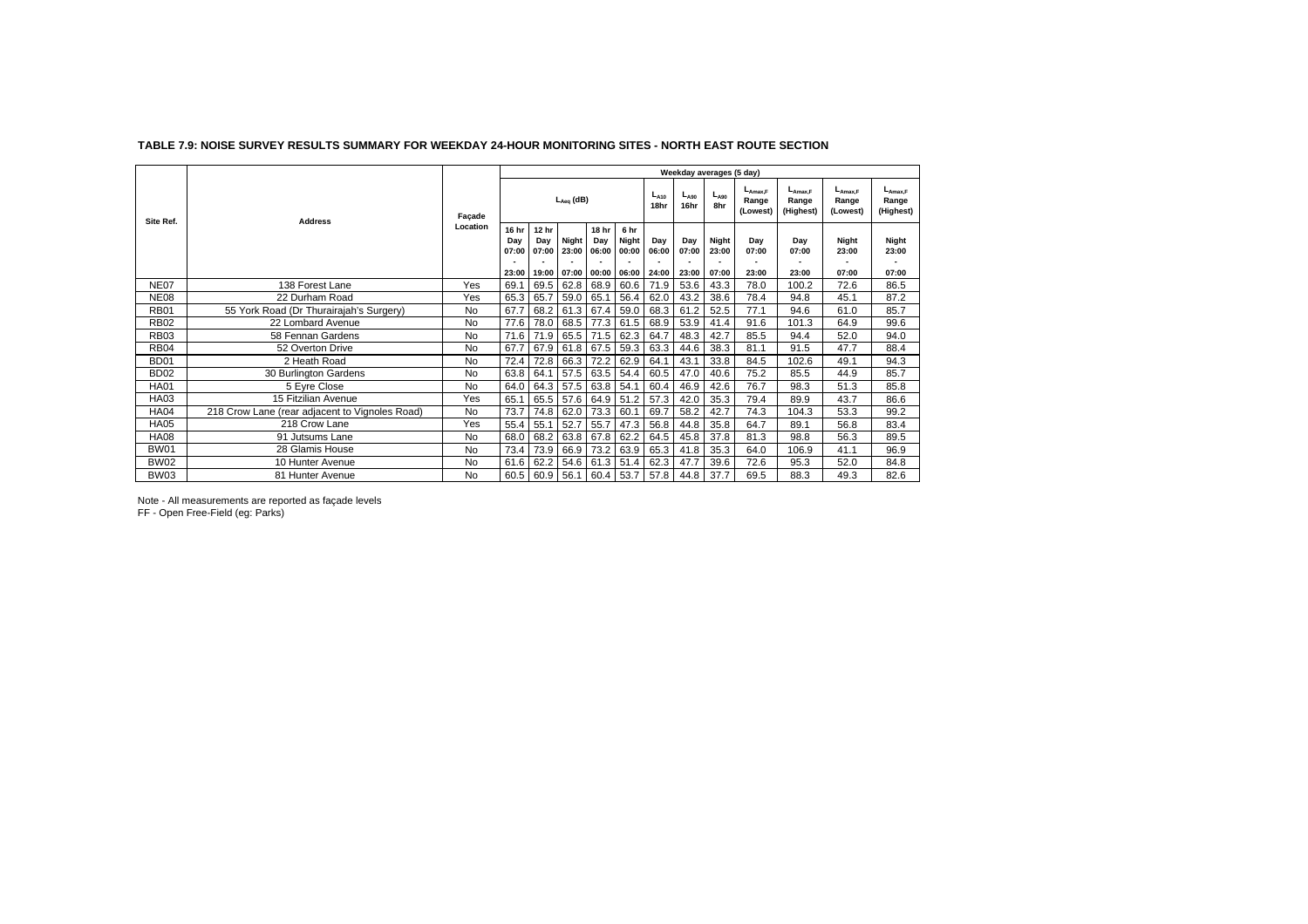|                  |                                                |           |              |              |                |              |               |                   |                   | Weekday averages (5 day) |                                          |                                    |                                    |                                    |
|------------------|------------------------------------------------|-----------|--------------|--------------|----------------|--------------|---------------|-------------------|-------------------|--------------------------|------------------------------------------|------------------------------------|------------------------------------|------------------------------------|
| Site Ref.        | <b>Address</b>                                 | Façade    |              |              | $L_{Aeq}$ (dB) |              |               | $L_{A10}$<br>18hr | $L_{A90}$<br>16hr | $L_{A90}$<br>8hr         | $L_{\text{Amax.F}}$<br>Range<br>(Lowest) | $L_{Amax,F}$<br>Range<br>(Highest) | $L_{A max.F}$<br>Range<br>(Lowest) | $L_{Amax,F}$<br>Range<br>(Highest) |
|                  |                                                | Location  | 16 hr<br>Dav | 12 hr<br>Dav | Night          | 18 hr<br>Dav | 6 hr<br>Night | Day               | Day               | Night                    | Dav                                      | Day                                | Night                              | Night                              |
|                  |                                                |           | 07:00        | 07:00        | 23:00          | 06:00        | 00:00         | 06:00             | 07:00             | 23:00                    | 07:00                                    | 07:00                              | 23:00                              | 23:00                              |
|                  |                                                |           | 23:00        | 19:00        | 07:00          | 00:00        | 06:00         | 24:00             | 23:00             | 07:00                    | 23:00                                    | 23:00                              | 07:00                              | 07:00                              |
| <b>NE07</b>      | 138 Forest Lane                                | Yes       | 69.1         | 69.5         | 62.8           | 68.9         | 60.6          | 71.9              | 53.6              | 43.3                     | 78.0                                     | 100.2                              | 72.6                               | 86.5                               |
| <b>NE08</b>      | 22 Durham Road                                 | Yes       | 65.3         | 65.7         | 59.0           | 65.1         | 56.4          | 62.0              | 43.2              | 38.6                     | 78.4                                     | 94.8                               | 45.1                               | 87.2                               |
| <b>RB01</b>      | 55 York Road (Dr Thurairajah's Surgery)        | No        | 67.7         | 68.2         | 61.3           | 67.4         | 59.0          | 68.3              | 61.2              | 52.5                     | 77.1                                     | 94.6                               | 61.0                               | 85.7                               |
| <b>RB02</b>      | 22 Lombard Avenue                              | No        | 77.6         | 78.0         | 68.5           | 77.3         | 61.5          | 68.9              | 53.9              | 41.4                     | 91.6                                     | 101.3                              | 64.9                               | 99.6                               |
| <b>RB03</b>      | 58 Fennan Gardens                              | No        | 71.6         | 71.9         | 65.5           | 71.5         | 62.3          | 64.7              | 48.3              | 42.7                     | 85.5                                     | 94.4                               | 52.0                               | 94.0                               |
| <b>RB04</b>      | 52 Overton Drive                               | No        | 67.7         | 67.9         | 61.8           | 67.5         | 59.3          | 63.3              | 44.6              | 38.3                     | 81.1                                     | 91.5                               | 47.7                               | 88.4                               |
| <b>BD01</b>      | 2 Heath Road                                   | No        | 72.4         | 72.8         | 66.3           | 72.2         | 62.9          | 64.1              | 43.1              | 33.8                     | 84.5                                     | 102.6                              | 49.1                               | 94.3                               |
| BD <sub>02</sub> | 30 Burlington Gardens                          | No        | 63.8         | 64.1         | 57.5           | 63.5         | 54.4          | 60.5              | 47.0              | 40.6                     | 75.2                                     | 85.5                               | 44.9                               | 85.7                               |
| <b>HA01</b>      | 5 Eyre Close                                   | <b>No</b> | 64.0         | 64.3         | 57.5           | 63.8         | 54.1          | 60.4              | 46.9              | 42.6                     | 76.7                                     | 98.3                               | 51.3                               | 85.8                               |
| <b>HA03</b>      | 15 Fitzilian Avenue                            | Yes       | 65.1         | 65.5         | 57.6           | 64.9         | 51.2          | 57.3              | 42.0              | 35.3                     | 79.4                                     | 89.9                               | 43.7                               | 86.6                               |
| <b>HA04</b>      | 218 Crow Lane (rear adjacent to Vignoles Road) | No        | 73.7         | 74.8         | 62.0           | 73.3         | 60.1          | 69.7              | 58.2              | 42.7                     | 74.3                                     | 104.3                              | 53.3                               | 99.2                               |
| <b>HA05</b>      | 218 Crow Lane                                  | Yes       | 55.4         | 55.1         | 52.7           | 55.7         | 47.3          | 56.8              | 44.8              | 35.8                     | 64.7                                     | 89.1                               | 56.8                               | 83.4                               |
| <b>HA08</b>      | 91 Jutsums Lane                                | No        | 68.0         | 68.2         | 63.8           | 67.8         | 62.2          | 64.5              | 45.8              | 37.8                     | 81.3                                     | 98.8                               | 56.3                               | 89.5                               |
| <b>BW01</b>      | 28 Glamis House                                | No        | 73.4         | 73.9         | 66.9           | 73.2         | 63.9          | 65.3              | 41.8              | 35.3                     | 64.0                                     | 106.9                              | 41.1                               | 96.9                               |
| <b>BW02</b>      | 10 Hunter Avenue                               | No        | 61.6         | 62.2         | 54.6           | 61.3         | 51.4          | 62.3              | 47.7              | 39.6                     | 72.6                                     | 95.3                               | 52.0                               | 84.8                               |
| BW03             | 81 Hunter Avenue                               | No        | 60.5         | 60.9         | 56.1           | 60.4         | 53.7          | 57.8              | 44.8              | 37.7                     | 69.5                                     | 88.3                               | 49.3                               | 82.6                               |

#### **TABLE 7.9: NOISE SURVEY RESULTS SUMMARY FOR WEEKDAY 24-HOUR MONITORING SITES - NORTH EAST ROUTE SECTION**

Note - All measurements are reported as façade levels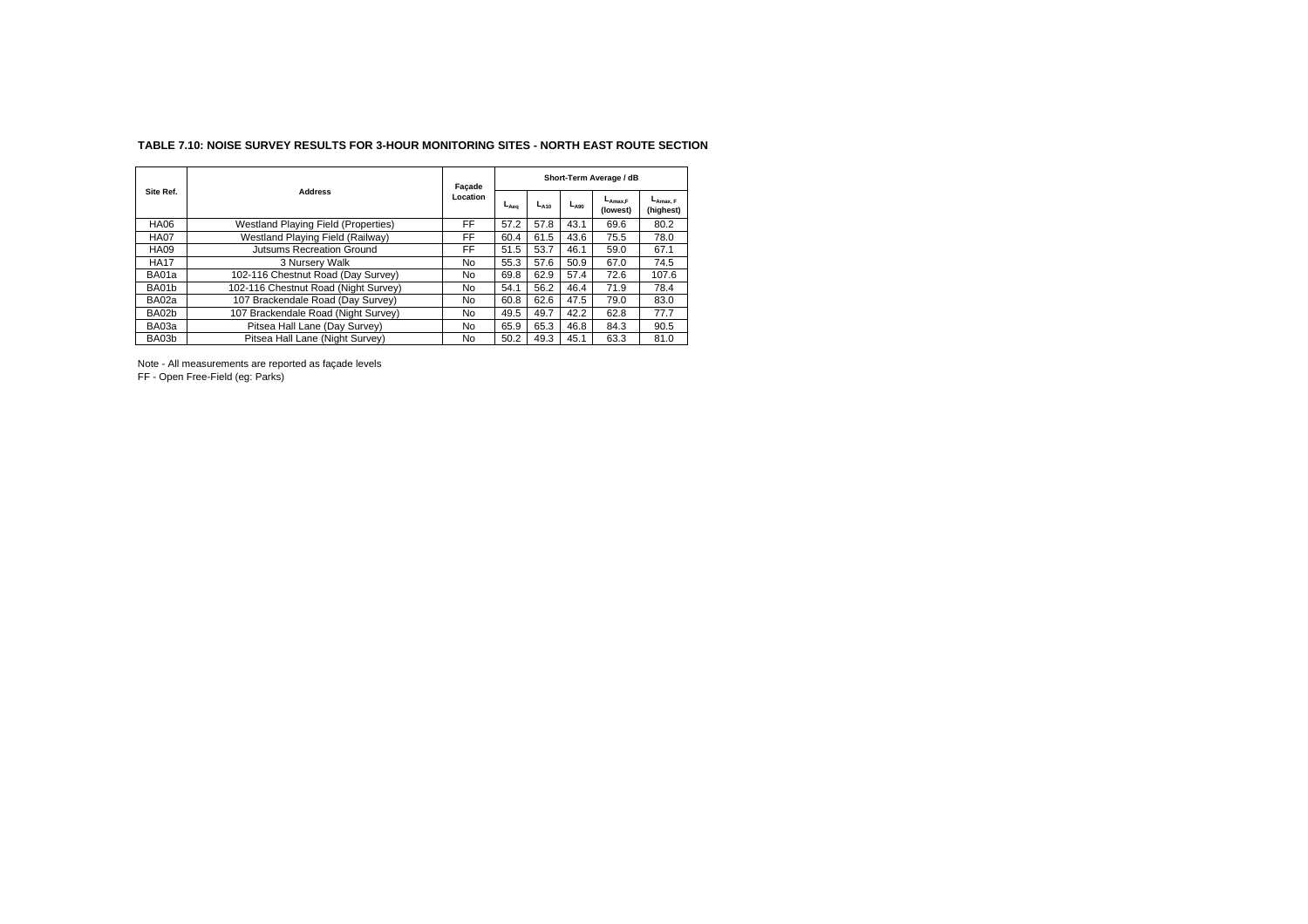## **TABLE 7.10: NOISE SURVEY RESULTS FOR 3-HOUR MONITORING SITES - NORTH EAST ROUTE SECTION**

|             |                                            | Façade    |           |           |           | Short-Term Average / dB  |                                   |
|-------------|--------------------------------------------|-----------|-----------|-----------|-----------|--------------------------|-----------------------------------|
| Site Ref.   | <b>Address</b>                             | Location  | $L_{Aea}$ | $L_{A10}$ | $L_{A90}$ | $L_{Amax,F}$<br>(lowest) | $L_{\text{Amax, F}}$<br>(highest) |
| <b>HA06</b> | <b>Westland Playing Field (Properties)</b> | FF        | 57.2      | 57.8      | 43.1      | 69.6                     | 80.2                              |
| <b>HA07</b> | Westland Playing Field (Railway)           | <b>FF</b> | 60.4      | 61.5      | 43.6      | 75.5                     | 78.0                              |
| <b>HA09</b> | Jutsums Recreation Ground                  | FF        | 51.5      | 53.7      | 46.1      | 59.0                     | 67.1                              |
| <b>HA17</b> | 3 Nursery Walk                             | No.       | 55.3      | 57.6      | 50.9      | 67.0                     | 74.5                              |
| BA01a       | 102-116 Chestnut Road (Day Survey)         | <b>No</b> | 69.8      | 62.9      | 57.4      | 72.6                     | 107.6                             |
| BA01b       | 102-116 Chestnut Road (Night Survey)       | No        | 54.1      | 56.2      | 46.4      | 71.9                     | 78.4                              |
| BA02a       | 107 Brackendale Road (Day Survey)          | No.       | 60.8      | 62.6      | 47.5      | 79.0                     | 83.0                              |
| BA02b       | 107 Brackendale Road (Night Survey)        | <b>No</b> | 49.5      | 49.7      | 42.2      | 62.8                     | 77.7                              |
| BA03a       | Pitsea Hall Lane (Day Survey)              | <b>No</b> | 65.9      | 65.3      | 46.8      | 84.3                     | 90.5                              |
| BA03b       | Pitsea Hall Lane (Night Survey)            | <b>No</b> | 50.2      | 49.3      | 45.1      | 63.3                     | 81.0                              |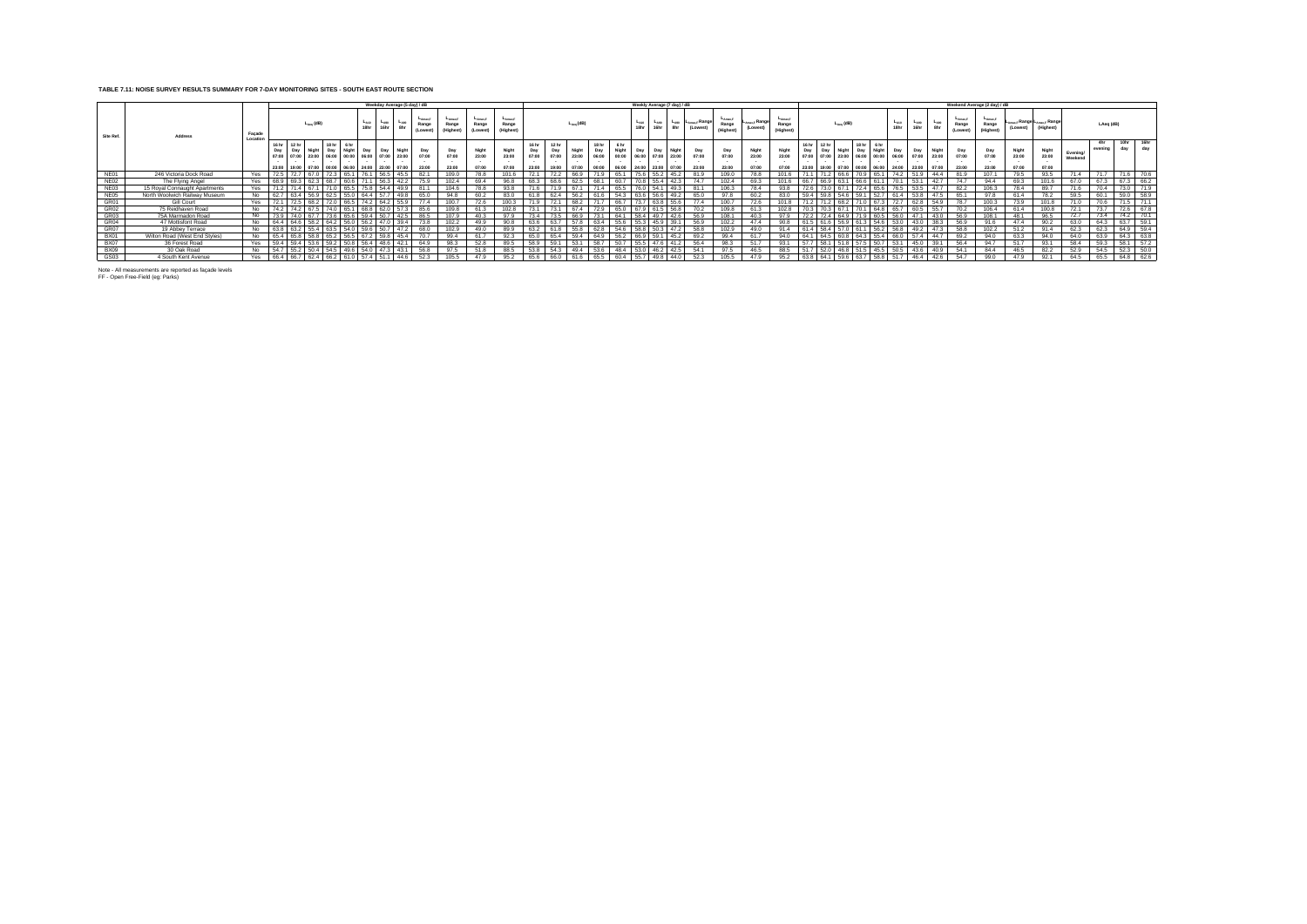## **TABLE 7.11: NOISE SURVEY RESULTS SUMMARY FOR 7-DAY MONITORING SITES - SOUTH EAST ROUTE SECTION**

|                  |                               |                                        |                  |       |                       |           |       |      |                   |                   | Weekday Average (5 day) / dB                                                                                                                |                             |                                    |                                 |                                   |                                |                                           |                         |                                |                        |                   | Weekly Average (7 day) / dB                            |         |                                          |                   |                                       |                                      |      |                         |                       |                                                                                                                          |                          |                   |                         |                              | Weekend Average (2 day) / dB  |                         |                                         |                     |                |             |             |
|------------------|-------------------------------|----------------------------------------|------------------|-------|-----------------------|-----------|-------|------|-------------------|-------------------|---------------------------------------------------------------------------------------------------------------------------------------------|-----------------------------|------------------------------------|---------------------------------|-----------------------------------|--------------------------------|-------------------------------------------|-------------------------|--------------------------------|------------------------|-------------------|--------------------------------------------------------|---------|------------------------------------------|-------------------|---------------------------------------|--------------------------------------|------|-------------------------|-----------------------|--------------------------------------------------------------------------------------------------------------------------|--------------------------|-------------------|-------------------------|------------------------------|-------------------------------|-------------------------|-----------------------------------------|---------------------|----------------|-------------|-------------|
| Site Ref.        | Address                       | Façade<br>Location                     |                  |       | $L_{\text{acc}}$ (dB) |           |       |      | $L_{A10}$<br>18hr | $L_{A90}$<br>16hr | $L_{A90}$<br>8hr                                                                                                                            | Amax.F<br>Range<br>(Lowest) | $L_{AMax,F}$<br>Range<br>(Highest) | $L$ Amax.F<br>Range<br>(Lowest) | $L_{AmaxF}$<br>Range<br>(Highest) |                                |                                           | $L_{Aog}$ (dB)          |                                |                        | $L_{A10}$<br>18hr | $-$ <sub>A90</sub><br>16hr                             |         | $L_{A90}$ $L_{Amax,F}$ Kange<br>(Lowest) | Range<br>(Highest | L <sub>Amax.F</sub> Range.<br>(Lowest | <b>LAmax.F</b><br>Range<br>(Highest) |      |                         | $L_{A\text{eq}}$ (dB) |                                                                                                                          | L <sub>A10</sub><br>18hr | $L_{A90}$<br>16hr | $L_{A90}$<br>8hr        | -Amax F<br>Range<br>(Lowest) | LAmax.F<br>Range<br>(Highest) | (Lowest)                | Amax F Range LAmax F Range<br>(Highest) |                     | LAeq (dB)      |             |             |
|                  |                               |                                        | 16 <sub>hr</sub> | 12 hr |                       |           | 18 hr | 6 hr |                   |                   | Day Day Night Day Night Day Day Night<br>07:00 07:00 23:00 06:00 00:00 06:00 07:00 23:00<br>23:00 19:00 07:00 00:00 06:00 24:00 23:00 07:00 | Day<br>07:00<br>23:00       | Day<br>07:00<br>23:00              | Night<br>23:00<br>07:00         | Night<br>23:00                    | 16 hr<br>Day<br>07:00<br>23:00 | 12 <sub>hr</sub><br>Day<br>07:00<br>19:00 | Night<br>23:00<br>07:00 | 18 hr<br>Day<br>06:00<br>00:00 | 6 hr<br>Night<br>06:00 | Dav               | Day<br>00:00  06:00  07:00  23:00<br>24:00 23:00 07:00 | Niaht   | Day<br>07:00<br>23:00                    | Day<br>07:00      | Night<br>23:00                        | Night<br>23:00                       | Day  | 12 <sub>hr</sub><br>Day |                       | 18 <sub>hr</sub><br>6 <sub>hr</sub><br>Day<br>07:00 07:00 23:00 06:00 00:00 06:00<br>19:00 07:00 00:00 06:00 24:00 23:00 | Day                      | Day<br>07:00      | Night<br>23:00<br>07:00 | Day<br>07:00<br>23:00        | Day<br>07:00<br>23:00         | Night<br>23:00<br>07:00 | Night<br>23:00<br>07:00                 | Evening/<br>Weekend | 4hr<br>evenina | 10hr<br>dav | 16hr<br>dav |
| NE01             | 246 Victoria Dock Road        | Yes.                                   |                  |       |                       |           |       | 65.1 |                   |                   | 45.5                                                                                                                                        |                             |                                    |                                 |                                   |                                |                                           |                         |                                |                        |                   |                                                        |         |                                          |                   |                                       |                                      |      |                         |                       |                                                                                                                          |                          |                   | 44.4                    |                              |                               |                         |                                         |                     |                |             |             |
| <b>NE02</b>      | The Flying Angel              | Yes 68.9 69.3 62.3 68.7 60.6           |                  |       |                       |           |       |      | 711               | 56.3              | 42.2                                                                                                                                        | 75.9                        | 102.4                              | 69.4                            | 96.8                              | 68.3                           | 68.6                                      | 62.5                    | 68.1                           | 60.7                   |                   | $70.8$ 55.4 42.3                                       |         | 74.7                                     | 102.4             | 69.3                                  | 101.6                                |      |                         |                       | 66.7 66.9 63.1 66.6 61.1 70.1                                                                                            |                          | 53.1              | 42.7                    | 74.7                         | 94.4                          | 69.3                    | 101.6                                   | 67.0                | 67.3           | 67.3        | 66.2        |
| NE03             | 15 Royal Connaught Apartments | Yes                                    |                  | 71.4  | 67.1                  |           | 71.0  | 65.5 | 75.8              | 54.4              | 49.9                                                                                                                                        | 81.1                        | 104.6                              |                                 |                                   |                                |                                           | 67.1                    | 71.4                           | 65.5                   |                   | 76.0 54.1 49.3                                         |         | 81.1                                     | 106.3             |                                       | 93.8                                 |      |                         |                       | 73.0 67.1 72.4 65.6                                                                                                      | 76.5                     | 53.5              | 47.7                    | 82.2                         | 106.3                         | 784                     | 89.7                                    | 71.6                | 70.4           | 73.0        |             |
| <b>NE05</b>      | North Woolwich Railway Museum | No.                                    | 62.7             |       |                       |           |       | 55.0 | 64.4              | 57.7              | 49.8                                                                                                                                        | 65.0                        |                                    |                                 |                                   |                                |                                           |                         |                                | .54.3                  |                   |                                                        |         | 65.0                                     |                   |                                       |                                      |      |                         |                       |                                                                                                                          |                          |                   | 147.5                   | 65.1                         |                               |                         |                                         | 59.5                |                | 59.0        | 58.9        |
| GR01             | Gill Court                    | Yes                                    |                  |       |                       |           |       | 66.5 |                   | 64.2              | 55.                                                                                                                                         | 77.4                        | 100.7                              |                                 | 100.3                             |                                |                                           |                         |                                |                        |                   |                                                        | $-55.6$ |                                          | 100.7             |                                       |                                      |      |                         |                       |                                                                                                                          |                          |                   | 54.9                    |                              | 100.3                         |                         | 101.8                                   |                     |                | <b>74 F</b> | 71.1        |
| GR02             | 75 Reidhaven Road             | No.                                    | 74.2             | 74 2  |                       |           |       |      |                   | 62 O              |                                                                                                                                             | 85.6                        |                                    |                                 | 102 R                             |                                |                                           | 674                     |                                |                        | $67^\circ$        |                                                        |         |                                          | 109.8             | 61.3                                  |                                      |      |                         |                       |                                                                                                                          |                          |                   | 55.7                    |                              | 106.4                         |                         | 100.8                                   | 721                 |                |             |             |
| GR <sub>03</sub> | 75A Marmadon Road             | No                                     |                  |       |                       |           |       |      | 594               | 50.7              | 42.5                                                                                                                                        | 86.5                        | 1079                               | 40.3                            |                                   |                                |                                           |                         | 731                            |                        | 58.4              | 497                                                    |         | 56.9                                     | 108.1             | 103                                   | 070                                  | 72   | 721                     |                       |                                                                                                                          |                          | A71               | 430                     |                              | 108.1                         | 48.1                    | 96.5                                    |                     |                | 74.2        | 70.1        |
| GR04             | 47 Mottisfont Road            | No                                     |                  |       |                       | 58.2 64.2 |       |      | 56.2              |                   | 39.4                                                                                                                                        | 73.8                        | 102.2                              | 49.9                            |                                   |                                | 63                                        |                         | 63.4                           |                        | 55.               | 45.9                                                   |         | 56.9                                     |                   |                                       |                                      |      |                         |                       |                                                                                                                          |                          |                   | 38.3                    |                              |                               |                         |                                         | 63.0                | 64.3           | 63.7        | 59.1        |
| GR07             | 19 Abbey Terrace              | N <sub>0</sub>                         |                  |       |                       |           |       |      |                   | 50.7              | 47 S                                                                                                                                        | 68.0                        | 1029                               | 490                             |                                   |                                |                                           |                         |                                |                        |                   | 50.3                                                   |         | 58.8                                     |                   |                                       | Q <sub>1</sub>                       |      |                         |                       |                                                                                                                          |                          |                   | 473                     | <b>58.8</b>                  | 1022                          |                         |                                         | 62.3                | 62.3           | 64.9        | 594         |
| <b>BX01</b>      | Wilton Road (West End Styles) | No                                     |                  |       |                       |           |       |      |                   |                   | 45.4                                                                                                                                        | 70.7                        | 994                                | 61.7                            | 92.3                              | 65.0                           |                                           |                         |                                |                        | $-66c$            | 59.1                                                   |         | 692                                      | 99.4              |                                       | $QA$ $\cap$                          |      |                         |                       |                                                                                                                          |                          |                   | 44.7                    | 692                          |                               | 63.3                    | 94.0                                    | 64.0                | 63.9           | 64.3        | 63.8        |
| <b>BX07</b>      | 36 Forest Road                | Yes                                    |                  |       |                       |           |       |      | 56.4              | 48.6              | 42.1                                                                                                                                        | 64.9                        |                                    |                                 |                                   |                                |                                           |                         | 58.7                           |                        |                   |                                                        |         |                                          |                   | 51                                    | 93                                   |      | 58.1                    |                       |                                                                                                                          |                          |                   | 39.1                    |                              |                               |                         |                                         | 58.4                | 59.3           | 58.1        | 57.2        |
| <b>BX09</b>      | 30 Oak Road                   | No.                                    |                  |       |                       |           |       |      |                   |                   | 43.1                                                                                                                                        | 56.8                        |                                    |                                 |                                   |                                |                                           |                         |                                |                        |                   | 46.                                                    |         | 54 1                                     |                   |                                       |                                      |      |                         |                       |                                                                                                                          |                          |                   | 40.9                    | 54.1                         | 844                           |                         | 822                                     | 52 Q                | 54.5           | 52.3        | 50.0        |
| GS03             | 4 South Kent Avenue           | Yes 66.4 66.7 62.4 66.2 61.0 57.4 51.1 |                  |       |                       |           |       |      |                   |                   | 44.6                                                                                                                                        | 52.3                        | 105.5                              | 47.9                            | 95.2                              | 65.6                           | 66.0                                      | 61.6                    | 65.5                           |                        |                   | 60.4 55.7 49.8 44.0                                    |         | 52.3                                     | 105.5             | 47.9                                  | 95.2                                 | 63.8 |                         |                       | 64.1 59.6 63.7 58.8 51.7                                                                                                 |                          | 46.4              | 42.6                    | 54.7                         | 99.0                          | 47.9                    | 92.1                                    | 64.5                | 65.5           | 64.8        | 62.6        |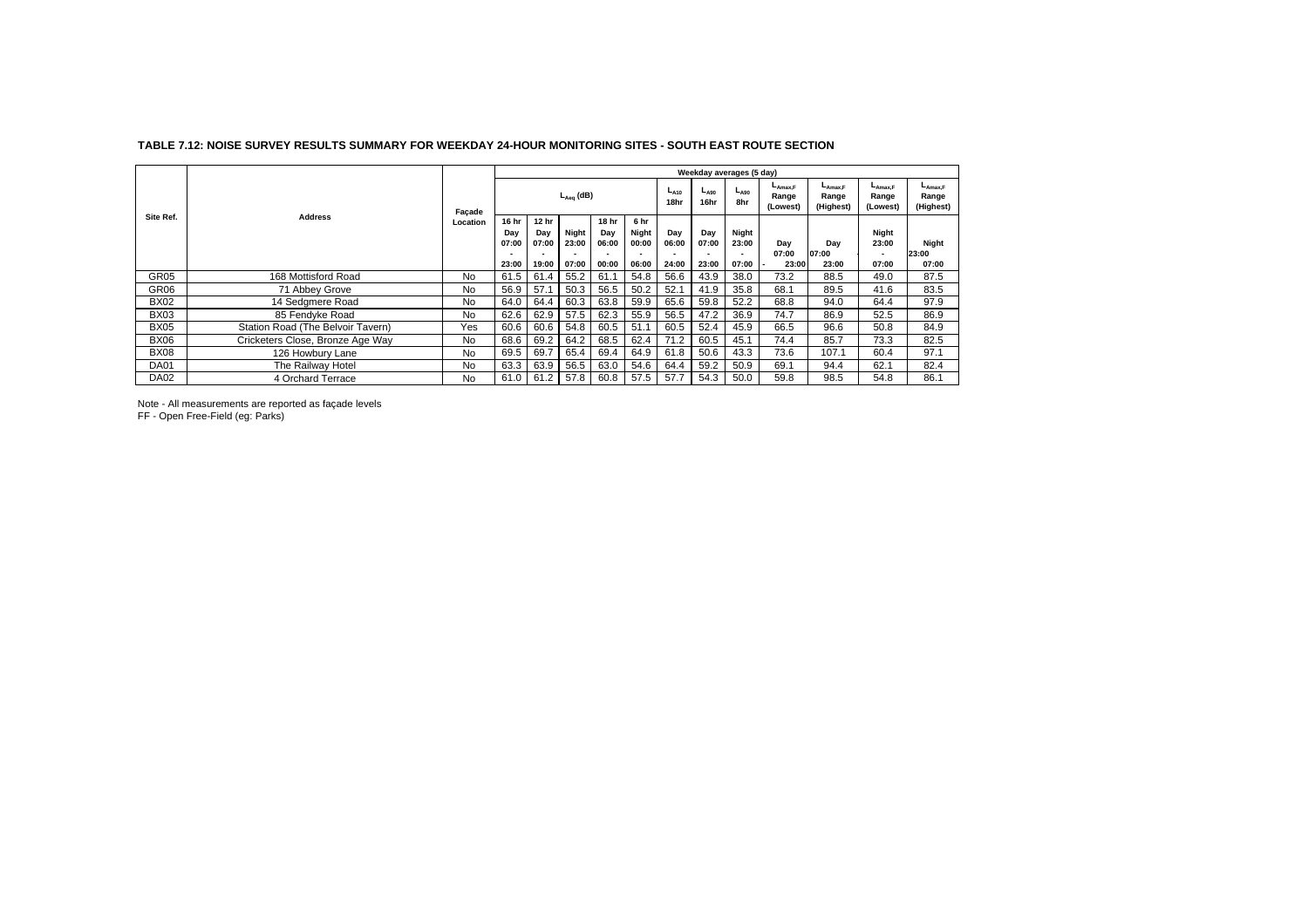|                  |                                   |           |                       | Weekday averages (5 day) |                |                       |                        |                   |                   |                  |                                   |                                    |                                   |                                           |  |  |  |
|------------------|-----------------------------------|-----------|-----------------------|--------------------------|----------------|-----------------------|------------------------|-------------------|-------------------|------------------|-----------------------------------|------------------------------------|-----------------------------------|-------------------------------------------|--|--|--|
|                  |                                   | Façade    |                       | $L_{Aea}$ (dB)           |                |                       |                        | $L_{A10}$<br>18hr | $L_{A90}$<br>16hr | $L_{A90}$<br>8hr | $L_{Amax,F}$<br>Range<br>(Lowest) | $L_{Amax,F}$<br>Range<br>(Highest) | $L_{Amax,F}$<br>Range<br>(Lowest) | $L_{\text{Amax,F}}$<br>Range<br>(Highest) |  |  |  |
| Site Ref.        | <b>Address</b>                    |           | 16 hr<br>Day<br>07:00 | 12 hr<br>Day<br>07:00    | Night<br>23:00 | 18 hr<br>Day<br>06:00 | 6 hr<br>Night<br>00:00 | Day<br>06:00      | Day<br>07:00      | Night<br>23:00   | Dav                               | Dav                                | Night<br>23:00                    | Night                                     |  |  |  |
|                  |                                   |           | 23:00                 | 19:00                    | 07:00          | 00:00                 | 06:00                  | 24:00             | 23:00             | 07:00            | 07:00<br>23:00                    | 07:00<br>23:00                     | 07:00                             | 23:00<br>07:00                            |  |  |  |
| GR <sub>05</sub> | 168 Mottisford Road               | <b>No</b> | 61.5                  | 61.4                     | 55.2           | 61.1                  | 54.8                   | 56.6              | 43.9              | 38.0             | 73.2                              | 88.5                               | 49.0                              | 87.5                                      |  |  |  |
|                  |                                   |           |                       |                          |                |                       |                        |                   |                   |                  |                                   |                                    |                                   |                                           |  |  |  |
| GR <sub>06</sub> | 71 Abbey Grove                    | <b>No</b> | 56.9                  | 57.1                     | 50.3           | 56.5                  | 50.2                   | 52.1              | 41.9              | 35.8             | 68.1                              | 89.5                               | 41.6                              | 83.5                                      |  |  |  |
| <b>BX02</b>      | 14 Sedgmere Road                  | <b>No</b> | 64.0                  | 64.4                     | 60.3           | 63.8                  | 59.9                   | 65.6              | 59.8              | 52.2             | 68.8                              | 94.0                               | 64.4                              | 97.9                                      |  |  |  |
| <b>BX03</b>      | 85 Fendyke Road                   | No.       | 62.6                  | 62.9                     | 57.5           | 62.3                  | 55.9                   | 56.5              | 47.2              | 36.9             | 74.7                              | 86.9                               | 52.5                              | 86.9                                      |  |  |  |
| <b>BX05</b>      | Station Road (The Belvoir Tavern) | Yes       | 60.6                  | 60.6                     | 54.8           | 60.5                  | 51.1                   | 60.5              | 52.4              | 45.9             | 66.5                              | 96.6                               | 50.8                              | 84.9                                      |  |  |  |
| <b>BX06</b>      | Cricketers Close, Bronze Age Way  | <b>No</b> | 68.6                  | 69.2                     | 64.2           | 68.5                  | 62.4                   | 71.2              | 60.5              | 45.1             | 74.4                              | 85.7                               | 73.3                              | 82.5                                      |  |  |  |
| <b>BX08</b>      | 126 Howbury Lane                  | <b>No</b> | 69.5                  | 69.7                     | 65.4           | 69.4                  | 64.9                   | 61.8              | 50.6              | 43.3             | 73.6                              | 107.1                              | 60.4                              | 97.1                                      |  |  |  |
| <b>DA01</b>      | The Railway Hotel                 | No.       | 63.3                  | 63.9                     | 56.5           | 63.0                  | 54.6                   | 64.4              | 59.2              | 50.9             | 69.1                              | 94.4                               | 62.1                              | 82.4                                      |  |  |  |
| <b>DA02</b>      | 4 Orchard Terrace                 | <b>No</b> | 61.0                  | 61.2                     | 57.8           | 60.8                  | 57.5                   | 57.7              | 54.3              | 50.0             | 59.8                              | 98.5                               | 54.8                              | 86.1                                      |  |  |  |

## **TABLE 7.12: NOISE SURVEY RESULTS SUMMARY FOR WEEKDAY 24-HOUR MONITORING SITES - SOUTH EAST ROUTE SECTION**

Note - All measurements are reported as façade levels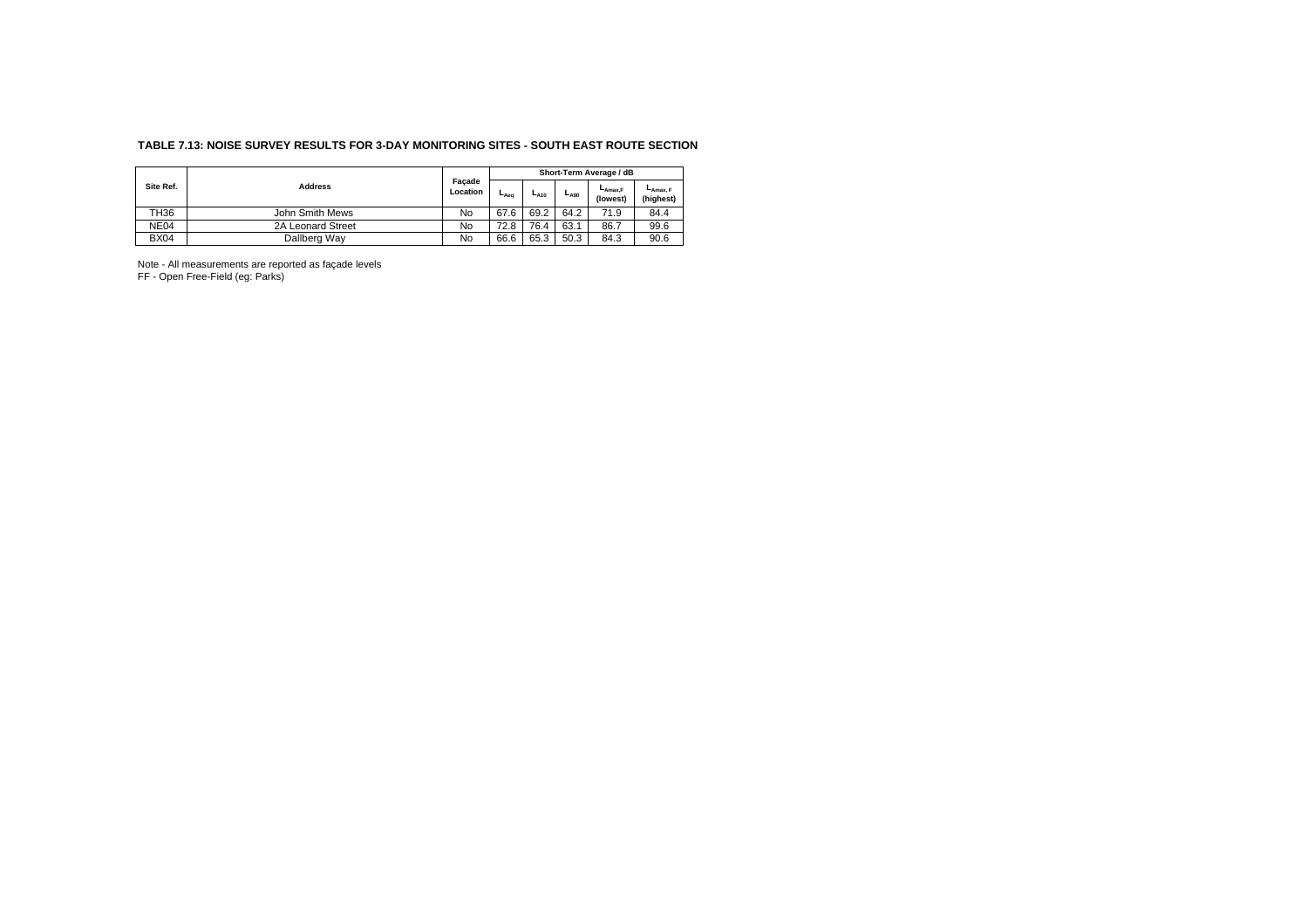## **TABLE 7.13: NOISE SURVEY RESULTS FOR 3-DAY MONITORING SITES - SOUTH EAST ROUTE SECTION**

| Site Ref.   |                   |                    | Short-Term Average / dB |           |           |                     |                       |  |  |  |  |
|-------------|-------------------|--------------------|-------------------------|-----------|-----------|---------------------|-----------------------|--|--|--|--|
|             | <b>Address</b>    | Facade<br>Location | La <sub>ea</sub>        | $L_{A10}$ | $L_{A90}$ | -Amax.F<br>(lowest) | LAmax, F<br>(highest) |  |  |  |  |
| <b>TH36</b> | John Smith Mews   | No                 | 67.6                    | 69.2      | 64.2      | 71.9                | 84.4                  |  |  |  |  |
| NE04        | 2A Leonard Street | No                 | 72.8                    | 76.4      | 63.1      | 86.7                | 99.6                  |  |  |  |  |
| <b>BX04</b> | Dallberg Way      | No                 | 66.6                    | 65.3      | 50.3      | 84.3                | 90.6                  |  |  |  |  |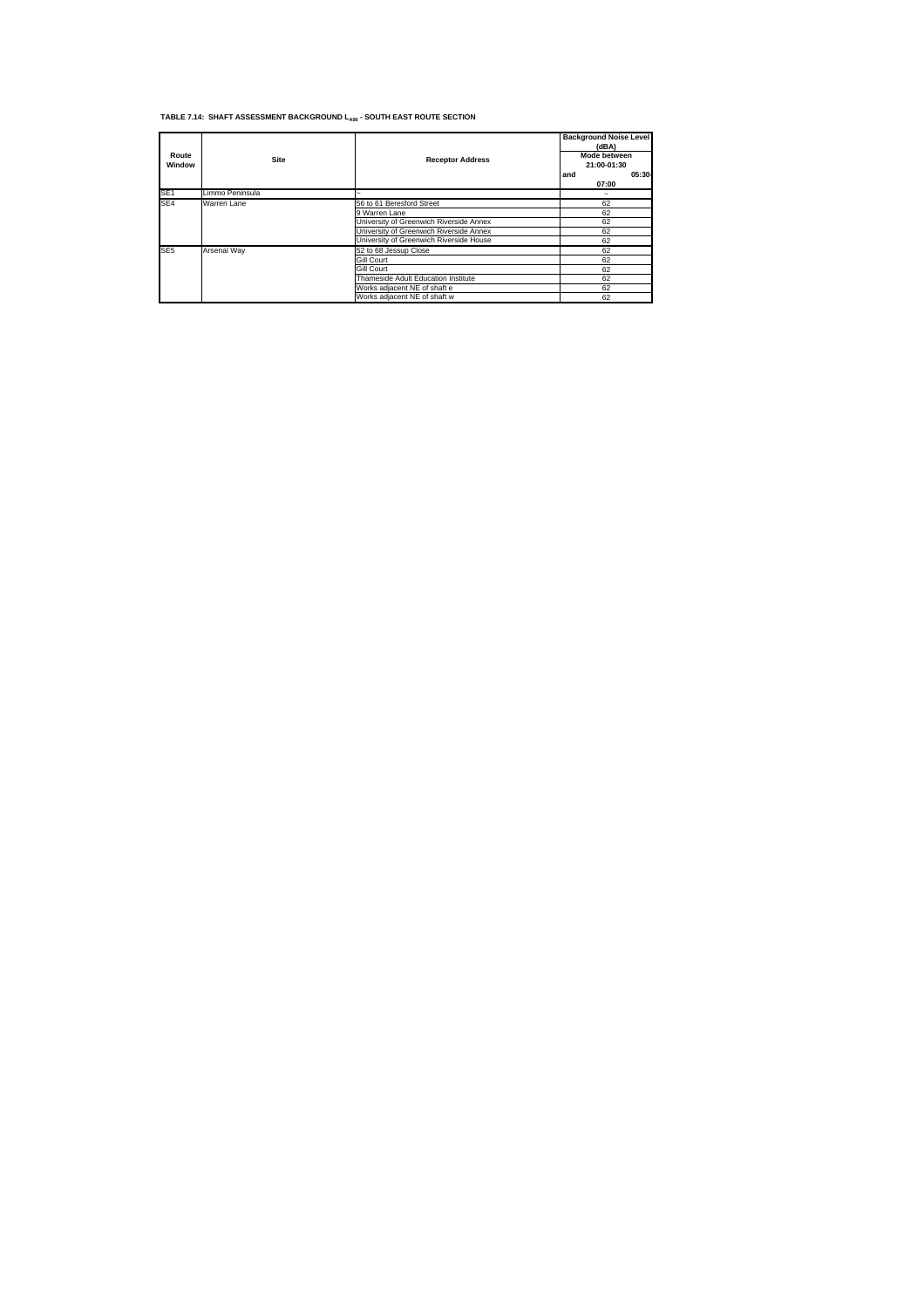## **TABLE 7.14: SHAFT ASSESSMENT BACKGROUND LA90 - SOUTH EAST ROUTE SECTION**

| Route<br>Window | <b>Site</b>     | <b>Receptor Address</b>                 | <b>Background Noise Level</b><br>(dBA)<br>Mode between<br>21:00-01:30<br>05:30<br>and<br>07:00 |
|-----------------|-----------------|-----------------------------------------|------------------------------------------------------------------------------------------------|
| SE <sub>1</sub> | Limmo Peninsula |                                         |                                                                                                |
| SE <sub>4</sub> | Warren Lane     | 56 to 61 Beresford Street               | 62                                                                                             |
|                 |                 | 9 Warren Lane                           | 62                                                                                             |
|                 |                 | University of Greenwich Riverside Annex | 62                                                                                             |
|                 |                 | University of Greenwich Riverside Annex | 62                                                                                             |
|                 |                 | University of Greenwich Riverside House | 62                                                                                             |
| SE <sub>5</sub> | Arsenal Way     | 52 to 68 Jessup Close                   | 62                                                                                             |
|                 |                 | Gill Court                              | 62                                                                                             |
|                 |                 | Gill Court                              | 62                                                                                             |
|                 |                 | Thameside Adult Education Institute     | 62                                                                                             |
|                 |                 | Works adjacent NE of shaft e            | 62                                                                                             |
|                 |                 | Works adjacent NE of shaft w            | 62                                                                                             |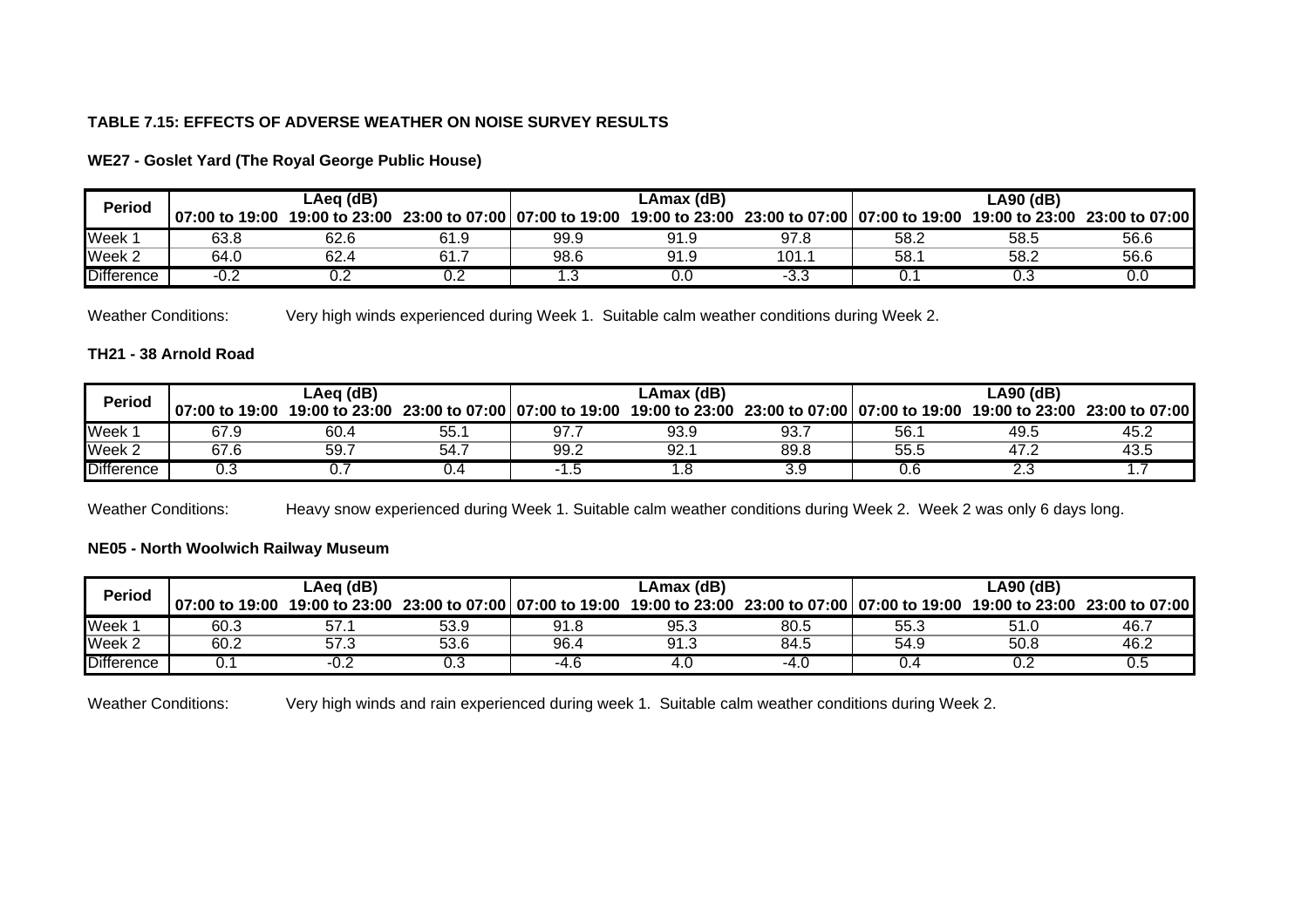# **TABLE 7.15: EFFECTS OF ADVERSE WEATHER ON NOISE SURVEY RESULTS**

| <b>Period</b>     |                  | LAea (dB) |      |                                              | LAmax (dB) |       | LA90 (dB)                                    |      |                               |  |  |  |
|-------------------|------------------|-----------|------|----------------------------------------------|------------|-------|----------------------------------------------|------|-------------------------------|--|--|--|
|                   | l 07:00 to 19:00 |           |      | 19:00 to 23:00 23:00 to 07:00 07:00 to 19:00 |            |       | 19:00 to 23:00 23:00 to 07:00 07:00 to 19:00 |      | 19:00 to 23:00 23:00 to 07:00 |  |  |  |
| Week              | 63.8             | 62.6      | 61.9 | 99.9                                         | 91.9       | 97.8  | 58.2                                         | 58.5 | 56.6                          |  |  |  |
| $Wee$ k 2         | 64.C             | 62.4      | 61.  | 98.6                                         | 91.9       | 101.1 | 58.7                                         | 58.2 | 56.6                          |  |  |  |
| <b>Difference</b> | n -<br>-∪.∠      | ◡.∠       | ◡.∠  |                                              | O.O        | -3.3  | υ.                                           | 0.3  | v.u                           |  |  |  |

**WE27 - Goslet Yard (The Royal George Public House)**

Weather Conditions: Very high winds experienced during Week 1. Suitable calm weather conditions during Week 2.

# **TH21 - 38 Arnold Road**

| <b>Period</b>     |                | LAeq (dB) |     |                                              | LAmax (dB)                                   |      | ∟A90 (dB) |      |                               |  |  |
|-------------------|----------------|-----------|-----|----------------------------------------------|----------------------------------------------|------|-----------|------|-------------------------------|--|--|
|                   | 07:00 to 19:00 |           |     | 19:00 to 23:00 23:00 to 07:00 07:00 to 19:00 | 19:00 to 23:00 23:00 to 07:00 07:00 to 19:00 |      |           |      | 19:00 to 23:00 23:00 to 07:00 |  |  |
| Week              | 67.9           | 60.4      | 55. | 97.                                          | 93.9                                         | 93.  | 56.       | 49.5 | ے.45                          |  |  |
| Week <sub>2</sub> | 67.6           | 59.7      | 54. | 99.2                                         | 92.1                                         | 89.8 | 55.5      | ۓ.47 | 43.5                          |  |  |
| <b>Difference</b> | U.3            |           |     |                                              |                                              |      | U.b       |      |                               |  |  |

Weather Conditions: Heavy snow experienced during Week 1. Suitable calm weather conditions during Week 2. Week 2 was only 6 days long.

# **NE05 - North Woolwich Railway Museum**

| <b>Period</b>     |                  | LAeg (dB) |      |                                              | LAmax (dB) |      | LA90 (dB)                                    |      |                               |  |  |
|-------------------|------------------|-----------|------|----------------------------------------------|------------|------|----------------------------------------------|------|-------------------------------|--|--|
|                   | l 07:00 to 19:00 |           |      | 19:00 to 23:00 23:00 to 07:00 07:00 to 19:00 |            |      | 19:00 to 23:00 23:00 to 07:00 07:00 to 19:00 |      | 19:00 to 23:00 23:00 to 07:00 |  |  |
| Week              | 60.3             |           | 53.9 | 91.8                                         | 95.3       | 80.5 | 55.3                                         | 51.U | 46.                           |  |  |
| Week 2            | 60.2             | 57.3      | 53.6 | 96.4                                         | 91.3       | 84.5 | 54.9                                         | 50.8 | ∠.46                          |  |  |
| <b>Difference</b> |                  |           | ∪.∪  | ں 4-                                         | 4.U        | -4.U |                                              |      |                               |  |  |

Weather Conditions: Very high winds and rain experienced during week 1. Suitable calm weather conditions during Week 2.